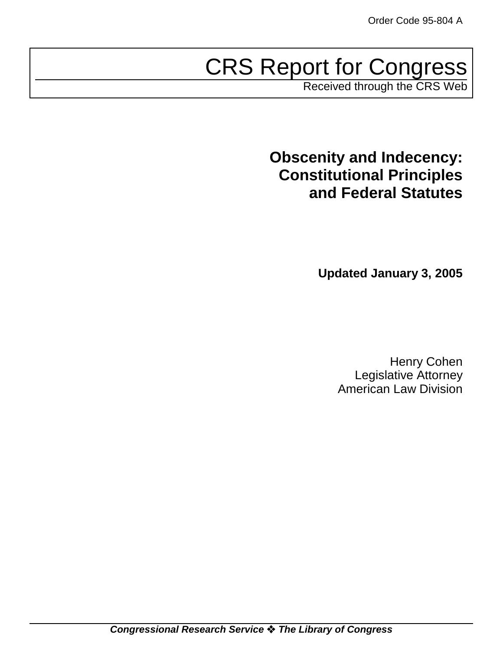# CRS Report for Congress

Received through the CRS Web

**Obscenity and Indecency: Constitutional Principles and Federal Statutes**

**Updated January 3, 2005**

Henry Cohen Legislative Attorney American Law Division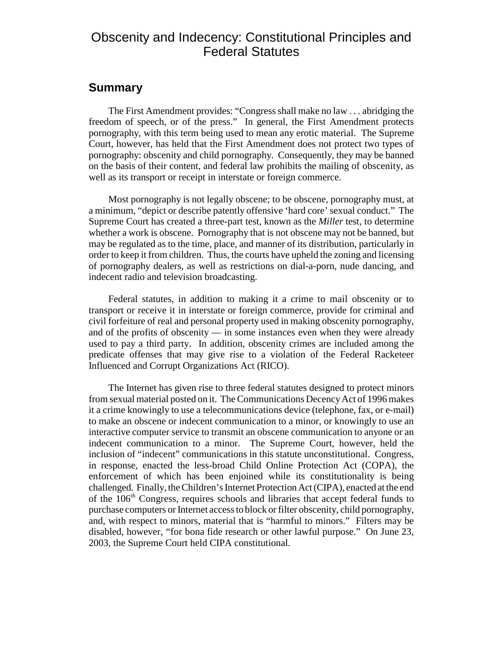## Obscenity and Indecency: Constitutional Principles and Federal Statutes

## **Summary**

The First Amendment provides: "Congress shall make no law . . . abridging the freedom of speech, or of the press." In general, the First Amendment protects pornography, with this term being used to mean any erotic material. The Supreme Court, however, has held that the First Amendment does not protect two types of pornography: obscenity and child pornography. Consequently, they may be banned on the basis of their content, and federal law prohibits the mailing of obscenity, as well as its transport or receipt in interstate or foreign commerce.

Most pornography is not legally obscene; to be obscene, pornography must, at a minimum, "depict or describe patently offensive 'hard core' sexual conduct." The Supreme Court has created a three-part test, known as the *Miller* test, to determine whether a work is obscene. Pornography that is not obscene may not be banned, but may be regulated as to the time, place, and manner of its distribution, particularly in order to keep it from children. Thus, the courts have upheld the zoning and licensing of pornography dealers, as well as restrictions on dial-a-porn, nude dancing, and indecent radio and television broadcasting.

Federal statutes, in addition to making it a crime to mail obscenity or to transport or receive it in interstate or foreign commerce, provide for criminal and civil forfeiture of real and personal property used in making obscenity pornography, and of the profits of obscenity — in some instances even when they were already used to pay a third party. In addition, obscenity crimes are included among the predicate offenses that may give rise to a violation of the Federal Racketeer Influenced and Corrupt Organizations Act (RICO).

The Internet has given rise to three federal statutes designed to protect minors from sexual material posted on it. The Communications Decency Act of 1996 makes it a crime knowingly to use a telecommunications device (telephone, fax, or e-mail) to make an obscene or indecent communication to a minor, or knowingly to use an interactive computer service to transmit an obscene communication to anyone or an indecent communication to a minor. The Supreme Court, however, held the inclusion of "indecent" communications in this statute unconstitutional. Congress, in response, enacted the less-broad Child Online Protection Act (COPA), the enforcement of which has been enjoined while its constitutionality is being challenged. Finally, the Children's Internet Protection Act (CIPA), enacted at the end of the  $106<sup>th</sup>$  Congress, requires schools and libraries that accept federal funds to purchase computers or Internet access to block or filter obscenity, child pornography, and, with respect to minors, material that is "harmful to minors." Filters may be disabled, however, "for bona fide research or other lawful purpose." On June 23, 2003, the Supreme Court held CIPA constitutional.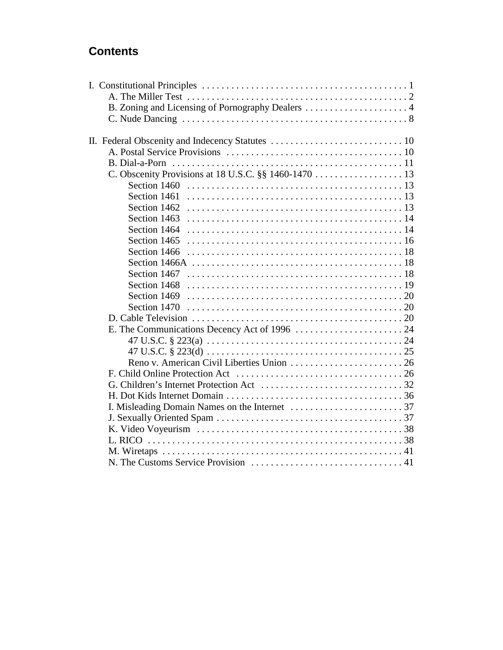## **Contents**

| B. Zoning and Licensing of Pornography Dealers  4    |  |
|------------------------------------------------------|--|
|                                                      |  |
|                                                      |  |
|                                                      |  |
|                                                      |  |
|                                                      |  |
| C. Obscenity Provisions at 18 U.S.C. §§ 1460-1470 13 |  |
| Section 1460                                         |  |
| Section 1461                                         |  |
| Section 1462                                         |  |
| Section 1463                                         |  |
| Section 1464                                         |  |
| Section 1465                                         |  |
| Section 1466                                         |  |
|                                                      |  |
| Section 1467                                         |  |
| Section 1468                                         |  |
| Section 1469                                         |  |
| Section 1470                                         |  |
|                                                      |  |
|                                                      |  |
|                                                      |  |
|                                                      |  |
|                                                      |  |
|                                                      |  |
|                                                      |  |
|                                                      |  |
|                                                      |  |
|                                                      |  |
|                                                      |  |
|                                                      |  |
|                                                      |  |
|                                                      |  |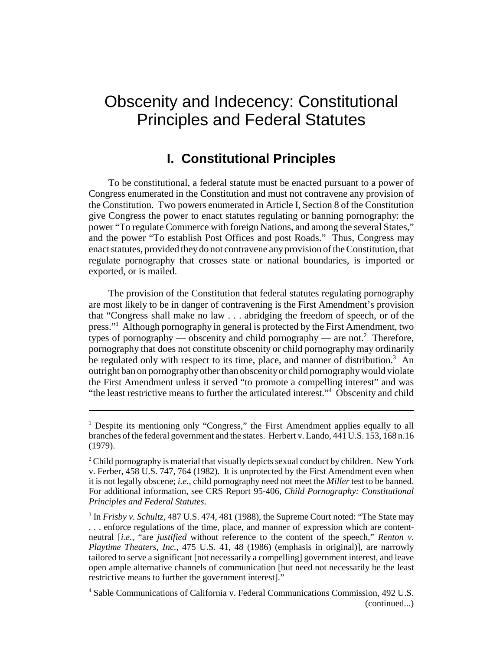## Obscenity and Indecency: Constitutional Principles and Federal Statutes

## **I. Constitutional Principles**

To be constitutional, a federal statute must be enacted pursuant to a power of Congress enumerated in the Constitution and must not contravene any provision of the Constitution. Two powers enumerated in Article I, Section 8 of the Constitution give Congress the power to enact statutes regulating or banning pornography: the power "To regulate Commerce with foreign Nations, and among the several States," and the power "To establish Post Offices and post Roads." Thus, Congress may enact statutes, provided they do not contravene any provision of the Constitution, that regulate pornography that crosses state or national boundaries, is imported or exported, or is mailed.

The provision of the Constitution that federal statutes regulating pornography are most likely to be in danger of contravening is the First Amendment's provision that "Congress shall make no law . . . abridging the freedom of speech, or of the press."1 Although pornography in general is protected by the First Amendment, two types of pornography — obscenity and child pornography — are not.<sup>2</sup> Therefore, pornography that does not constitute obscenity or child pornography may ordinarily be regulated only with respect to its time, place, and manner of distribution.<sup>3</sup> An outright ban on pornography other than obscenity or child pornography would violate the First Amendment unless it served "to promote a compelling interest" and was "the least restrictive means to further the articulated interest."<sup>4</sup> Obscenity and child

<sup>&</sup>lt;sup>1</sup> Despite its mentioning only "Congress," the First Amendment applies equally to all branches of the federal government and the states. Herbert v. Lando, 441 U.S. 153, 168 n.16 (1979).

 $2^2$  Child pornography is material that visually depicts sexual conduct by children. New York v. Ferber, 458 U.S. 747, 764 (1982). It is unprotected by the First Amendment even when it is not legally obscene; *i.e.*, child pornography need not meet the *Miller* test to be banned. For additional information, see CRS Report 95-406, *Child Pornography: Constitutional Principles and Federal Statutes*.

<sup>&</sup>lt;sup>3</sup> In *Frisby v. Schultz*, 487 U.S. 474, 481 (1988), the Supreme Court noted: "The State may . . . enforce regulations of the time, place, and manner of expression which are contentneutral [*i.e.*, "are *justified* without reference to the content of the speech," *Renton v. Playtime Theaters, Inc., 475 U.S. 41, 48 (1986) (emphasis in original)], are narrowly* tailored to serve a significant [not necessarily a compelling] government interest, and leave open ample alternative channels of communication [but need not necessarily be the least restrictive means to further the government interest]."

<sup>4</sup> Sable Communications of California v. Federal Communications Commission, 492 U.S. (continued...)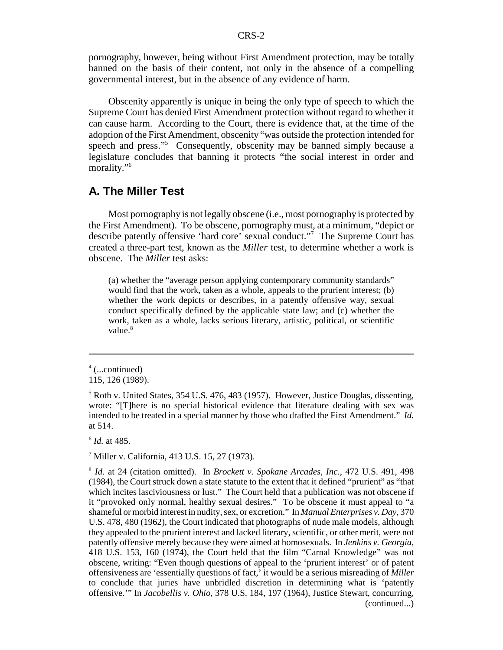pornography, however, being without First Amendment protection, may be totally banned on the basis of their content, not only in the absence of a compelling governmental interest, but in the absence of any evidence of harm.

Obscenity apparently is unique in being the only type of speech to which the Supreme Court has denied First Amendment protection without regard to whether it can cause harm. According to the Court, there is evidence that, at the time of the adoption of the First Amendment, obscenity "was outside the protection intended for speech and press."<sup>5</sup> Consequently, obscenity may be banned simply because a legislature concludes that banning it protects "the social interest in order and morality."<sup>6</sup>

## **A. The Miller Test**

Most pornography is not legally obscene (i.e., most pornography is protected by the First Amendment). To be obscene, pornography must, at a minimum, "depict or describe patently offensive 'hard core' sexual conduct."7 The Supreme Court has created a three-part test, known as the *Miller* test, to determine whether a work is obscene. The *Miller* test asks:

(a) whether the "average person applying contemporary community standards" would find that the work, taken as a whole, appeals to the prurient interest; (b) whether the work depicts or describes, in a patently offensive way, sexual conduct specifically defined by the applicable state law; and (c) whether the work, taken as a whole, lacks serious literary, artistic, political, or scientific value.<sup>8</sup>

<sup>6</sup> *Id.* at 485.

7 Miller v. California, 413 U.S. 15, 27 (1973).

<sup>4</sup> (...continued)

<sup>115, 126 (1989).</sup>

<sup>&</sup>lt;sup>5</sup> Roth v. United States, 354 U.S. 476, 483 (1957). However, Justice Douglas, dissenting, wrote: "[T]here is no special historical evidence that literature dealing with sex was intended to be treated in a special manner by those who drafted the First Amendment." *Id.* at 514.

<sup>8</sup> *Id.* at 24 (citation omitted). In *Brockett v. Spokane Arcades, Inc.*, 472 U.S. 491, 498 (1984), the Court struck down a state statute to the extent that it defined "prurient" as "that which incites lasciviousness or lust." The Court held that a publication was not obscene if it "provoked only normal, healthy sexual desires." To be obscene it must appeal to "a shameful or morbid interest in nudity, sex, or excretion." In *Manual Enterprises v. Day*, 370 U.S. 478, 480 (1962), the Court indicated that photographs of nude male models, although they appealed to the prurient interest and lacked literary, scientific, or other merit, were not patently offensive merely because they were aimed at homosexuals. In *Jenkins v. Georgia*, 418 U.S. 153, 160 (1974), the Court held that the film "Carnal Knowledge" was not obscene, writing: "Even though questions of appeal to the 'prurient interest' or of patent offensiveness are 'essentially questions of fact,' it would be a serious misreading of *Miller* to conclude that juries have unbridled discretion in determining what is 'patently offensive.'" In *Jacobellis v. Ohio*, 378 U.S. 184, 197 (1964), Justice Stewart, concurring, (continued...)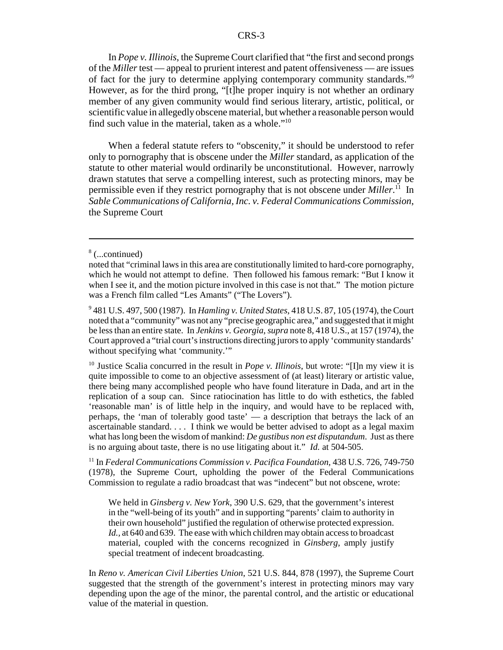In *Pope v. Illinois*, the Supreme Court clarified that "the first and second prongs of the *Miller* test — appeal to prurient interest and patent offensiveness — are issues of fact for the jury to determine applying contemporary community standards."9 However, as for the third prong, "[t]he proper inquiry is not whether an ordinary member of any given community would find serious literary, artistic, political, or scientific value in allegedly obscene material, but whether a reasonable person would find such value in the material, taken as a whole."<sup>10</sup>

When a federal statute refers to "obscenity," it should be understood to refer only to pornography that is obscene under the *Miller* standard, as application of the statute to other material would ordinarily be unconstitutional. However, narrowly drawn statutes that serve a compelling interest, such as protecting minors, may be permissible even if they restrict pornography that is not obscene under *Miller*.<sup>11</sup> In *Sable Communications of California, Inc. v. Federal Communications Commission*, the Supreme Court

<sup>10</sup> Justice Scalia concurred in the result in *Pope v. Illinois*, but wrote: "[I]n my view it is quite impossible to come to an objective assessment of (at least) literary or artistic value, there being many accomplished people who have found literature in Dada, and art in the replication of a soup can. Since ratiocination has little to do with esthetics, the fabled 'reasonable man' is of little help in the inquiry, and would have to be replaced with, perhaps, the 'man of tolerably good taste' — a description that betrays the lack of an ascertainable standard. . . . I think we would be better advised to adopt as a legal maxim what has long been the wisdom of mankind: *De gustibus non est disputandum*. Just as there is no arguing about taste, there is no use litigating about it." *Id.* at 504-505.

11 In *Federal Communications Commission v. Pacifica Foundation,* 438 U.S. 726, 749-750 (1978), the Supreme Court, upholding the power of the Federal Communications Commission to regulate a radio broadcast that was "indecent" but not obscene, wrote:

We held in *Ginsberg v. New York*, 390 U.S. 629, that the government's interest in the "well-being of its youth" and in supporting "parents' claim to authority in their own household" justified the regulation of otherwise protected expression. *Id.,* at 640 and 639. The ease with which children may obtain access to broadcast material, coupled with the concerns recognized in *Ginsberg*, amply justify special treatment of indecent broadcasting.

In *Reno v. American Civil Liberties Union*, 521 U.S. 844, 878 (1997), the Supreme Court suggested that the strength of the government's interest in protecting minors may vary depending upon the age of the minor, the parental control, and the artistic or educational value of the material in question.

<sup>8</sup> (...continued)

noted that "criminal laws in this area are constitutionally limited to hard-core pornography, which he would not attempt to define. Then followed his famous remark: "But I know it when I see it, and the motion picture involved in this case is not that." The motion picture was a French film called "Les Amants" ("The Lovers").

<sup>9</sup> 481 U.S. 497, 500 (1987). In *Hamling v. United States*, 418 U.S. 87, 105 (1974), the Court noted that a "community" was not any "precise geographic area," and suggested that it might be less than an entire state. In *Jenkins v. Georgia*, *supra* note 8, 418 U.S., at 157 (1974), the Court approved a "trial court's instructions directing jurors to apply 'community standards' without specifying what 'community.'"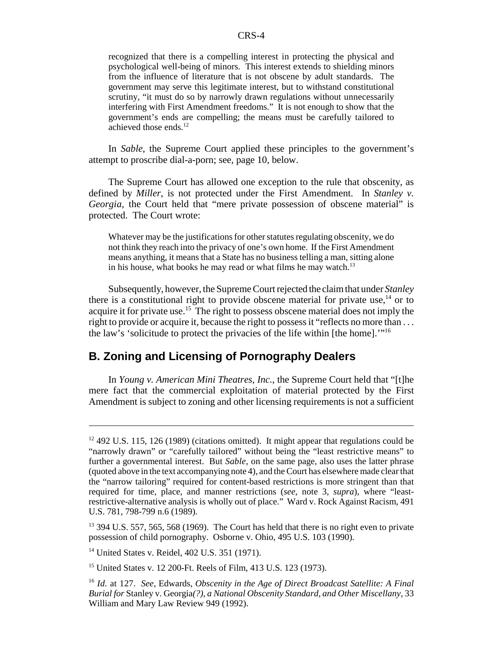recognized that there is a compelling interest in protecting the physical and psychological well-being of minors. This interest extends to shielding minors from the influence of literature that is not obscene by adult standards. The government may serve this legitimate interest, but to withstand constitutional scrutiny, "it must do so by narrowly drawn regulations without unnecessarily interfering with First Amendment freedoms." It is not enough to show that the government's ends are compelling; the means must be carefully tailored to achieved those ends.<sup>12</sup>

In *Sable*, the Supreme Court applied these principles to the government's attempt to proscribe dial-a-porn; see, page 10, below.

The Supreme Court has allowed one exception to the rule that obscenity, as defined by *Miller*, is not protected under the First Amendment. In *Stanley v. Georgia*, the Court held that "mere private possession of obscene material" is protected. The Court wrote:

Whatever may be the justifications for other statutes regulating obscenity, we do not think they reach into the privacy of one's own home. If the First Amendment means anything, it means that a State has no business telling a man, sitting alone in his house, what books he may read or what films he may watch.<sup>13</sup>

Subsequently, however, the Supreme Court rejected the claim that under *Stanley* there is a constitutional right to provide obscene material for private use, $14$  or to acquire it for private use.<sup>15</sup> The right to possess obscene material does not imply the right to provide or acquire it, because the right to possess it "reflects no more than ... the law's 'solicitude to protect the privacies of the life within [the home].'"16

## **B. Zoning and Licensing of Pornography Dealers**

In *Young v. American Mini Theatres, Inc.*, the Supreme Court held that "[t]he mere fact that the commercial exploitation of material protected by the First Amendment is subject to zoning and other licensing requirements is not a sufficient

 $12\,492$  U.S. 115, 126 (1989) (citations omitted). It might appear that regulations could be "narrowly drawn" or "carefully tailored" without being the "least restrictive means" to further a governmental interest. But *Sable*, on the same page, also uses the latter phrase (quoted above in the text accompanying note 4), and the Court has elsewhere made clear that the "narrow tailoring" required for content-based restrictions is more stringent than that required for time, place, and manner restrictions (*see*, note 3, *supra*), where "leastrestrictive-alternative analysis is wholly out of place." Ward v. Rock Against Racism, 491 U.S. 781, 798-799 n.6 (1989).

<sup>&</sup>lt;sup>13</sup> 394 U.S. 557, 565, 568 (1969). The Court has held that there is no right even to private possession of child pornography. Osborne v. Ohio, 495 U.S. 103 (1990).

<sup>14</sup> United States v. Reidel, 402 U.S. 351 (1971).

<sup>15</sup> United States v. 12 200-Ft. Reels of Film, 413 U.S. 123 (1973).

<sup>16</sup> *Id.* at 127. *See*, Edwards, *Obscenity in the Age of Direct Broadcast Satellite: A Final Burial for* Stanley v. Georgia*(?), a National Obscenity Standard, and Other Miscellany*, 33 William and Mary Law Review 949 (1992).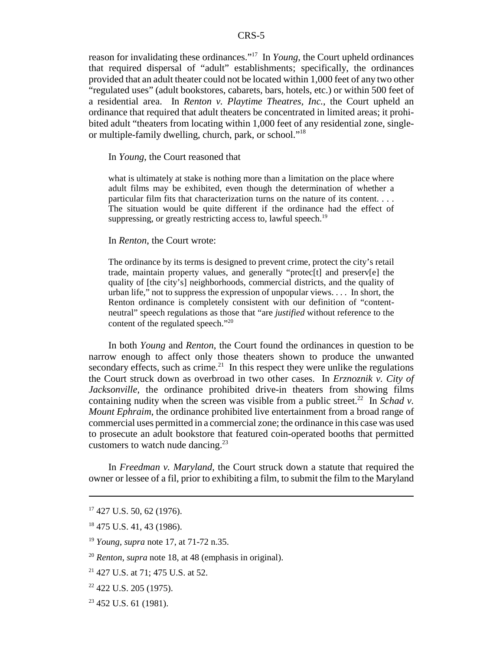reason for invalidating these ordinances."17 In *Young*, the Court upheld ordinances that required dispersal of "adult" establishments; specifically, the ordinances provided that an adult theater could not be located within 1,000 feet of any two other "regulated uses" (adult bookstores, cabarets, bars, hotels, etc.) or within 500 feet of a residential area. In *Renton v. Playtime Theatres, Inc.*, the Court upheld an ordinance that required that adult theaters be concentrated in limited areas; it prohibited adult "theaters from locating within 1,000 feet of any residential zone, singleor multiple-family dwelling, church, park, or school."18

In *Young*, the Court reasoned that

what is ultimately at stake is nothing more than a limitation on the place where adult films may be exhibited, even though the determination of whether a particular film fits that characterization turns on the nature of its content. . . . The situation would be quite different if the ordinance had the effect of suppressing, or greatly restricting access to, lawful speech.<sup>19</sup>

#### In *Renton*, the Court wrote:

The ordinance by its terms is designed to prevent crime, protect the city's retail trade, maintain property values, and generally "protec[t] and preserv[e] the quality of [the city's] neighborhoods, commercial districts, and the quality of urban life," not to suppress the expression of unpopular views. . . . In short, the Renton ordinance is completely consistent with our definition of "contentneutral" speech regulations as those that "are *justified* without reference to the content of the regulated speech."<sup>20</sup>

In both *Young* and *Renton*, the Court found the ordinances in question to be narrow enough to affect only those theaters shown to produce the unwanted secondary effects, such as crime.<sup>21</sup> In this respect they were unlike the regulations the Court struck down as overbroad in two other cases. In *Erznoznik v. City of Jacksonville*, the ordinance prohibited drive-in theaters from showing films containing nudity when the screen was visible from a public street.<sup>22</sup> In *Schad v*. *Mount Ephraim*, the ordinance prohibited live entertainment from a broad range of commercial uses permitted in a commercial zone; the ordinance in this case was used to prosecute an adult bookstore that featured coin-operated booths that permitted customers to watch nude dancing. $^{23}$ 

In *Freedman v. Maryland*, the Court struck down a statute that required the owner or lessee of a fil, prior to exhibiting a film, to submit the film to the Maryland

 $23$  452 U.S. 61 (1981).

 $17$  427 U.S. 50, 62 (1976).

<sup>&</sup>lt;sup>18</sup> 475 U.S. 41, 43 (1986).

<sup>19</sup> *Young*, *supra* note 17, at 71-72 n.35.

<sup>20</sup> *Renton*, *supra* note 18, at 48 (emphasis in original).

 $21$  427 U.S. at 71; 475 U.S. at 52.

 $22$  422 U.S. 205 (1975).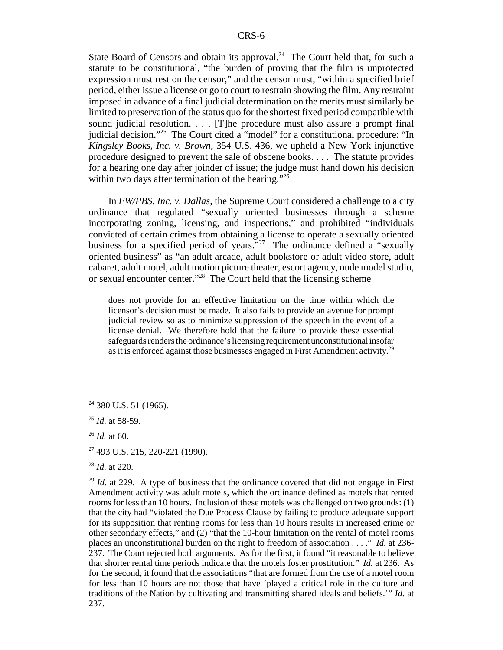State Board of Censors and obtain its approval.<sup>24</sup> The Court held that, for such a statute to be constitutional, "the burden of proving that the film is unprotected expression must rest on the censor," and the censor must, "within a specified brief period, either issue a license or go to court to restrain showing the film. Any restraint imposed in advance of a final judicial determination on the merits must similarly be limited to preservation of the status quo for the shortest fixed period compatible with sound judicial resolution. . . . [T]he procedure must also assure a prompt final judicial decision."<sup>25</sup> The Court cited a "model" for a constitutional procedure: "In *Kingsley Books, Inc. v. Brown*, 354 U.S. 436, we upheld a New York injunctive procedure designed to prevent the sale of obscene books. . . . The statute provides for a hearing one day after joinder of issue; the judge must hand down his decision within two days after termination of the hearing."<sup>26</sup>

In *FW/PBS, Inc. v. Dallas*, the Supreme Court considered a challenge to a city ordinance that regulated "sexually oriented businesses through a scheme incorporating zoning, licensing, and inspections," and prohibited "individuals convicted of certain crimes from obtaining a license to operate a sexually oriented business for a specified period of years."<sup>27</sup> The ordinance defined a "sexually oriented business" as "an adult arcade, adult bookstore or adult video store, adult cabaret, adult motel, adult motion picture theater, escort agency, nude model studio, or sexual encounter center."<sup>28</sup> The Court held that the licensing scheme

does not provide for an effective limitation on the time within which the licensor's decision must be made. It also fails to provide an avenue for prompt judicial review so as to minimize suppression of the speech in the event of a license denial. We therefore hold that the failure to provide these essential safeguards renders the ordinance's licensing requirement unconstitutional insofar as it is enforced against those businesses engaged in First Amendment activity.29

 $24$  380 U.S. 51 (1965).

<sup>25</sup> *Id*. at 58-59.

<sup>26</sup> *Id.* at 60.

<sup>27 493</sup> U.S. 215, 220-221 (1990).

<sup>28</sup> *Id*. at 220.

 $^{29}$  *Id.* at 229. A type of business that the ordinance covered that did not engage in First Amendment activity was adult motels, which the ordinance defined as motels that rented rooms for less than 10 hours. Inclusion of these motels was challenged on two grounds: (1) that the city had "violated the Due Process Clause by failing to produce adequate support for its supposition that renting rooms for less than 10 hours results in increased crime or other secondary effects," and (2) "that the 10-hour limitation on the rental of motel rooms places an unconstitutional burden on the right to freedom of association . . . ." *Id.* at 236- 237. The Court rejected both arguments. As for the first, it found "it reasonable to believe that shorter rental time periods indicate that the motels foster prostitution." *Id.* at 236. As for the second, it found that the associations "that are formed from the use of a motel room for less than 10 hours are not those that have 'played a critical role in the culture and traditions of the Nation by cultivating and transmitting shared ideals and beliefs.'" *Id.* at 237.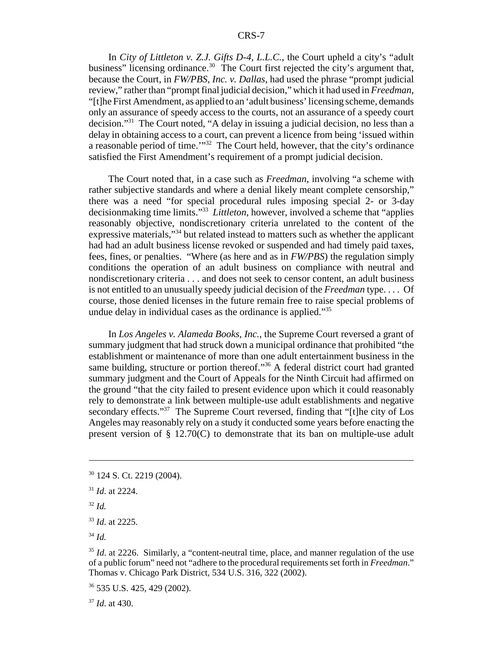In *City of Littleton v. Z.J. Gifts D-4, L.L.C.*, the Court upheld a city's "adult business" licensing ordinance.<sup>30</sup> The Court first rejected the city's argument that, because the Court, in *FW/PBS, Inc. v. Dallas*, had used the phrase "prompt judicial review," rather than "prompt final judicial decision," which it had used in *Freedman*, "[t]he First Amendment, as applied to an 'adult business' licensing scheme, demands only an assurance of speedy access to the courts, not an assurance of a speedy court decision."31 The Court noted, "A delay in issuing a judicial decision, no less than a delay in obtaining access to a court, can prevent a licence from being 'issued within a reasonable period of time.'"32 The Court held, however, that the city's ordinance satisfied the First Amendment's requirement of a prompt judicial decision.

The Court noted that, in a case such as *Freedman*, involving "a scheme with rather subjective standards and where a denial likely meant complete censorship," there was a need "for special procedural rules imposing special 2- or 3-day decisionmaking time limits."33 *Littleton*, however, involved a scheme that "applies reasonably objective, nondiscretionary criteria unrelated to the content of the expressive materials,"<sup>34</sup> but related instead to matters such as whether the applicant had had an adult business license revoked or suspended and had timely paid taxes, fees, fines, or penalties. "Where (as here and as in *FW/PBS*) the regulation simply conditions the operation of an adult business on compliance with neutral and nondiscretionary criteria . . . and does not seek to censor content, an adult business is not entitled to an unusually speedy judicial decision of the *Freedman* type. . . . Of course, those denied licenses in the future remain free to raise special problems of undue delay in individual cases as the ordinance is applied."<sup>35</sup>

In *Los Angeles v. Alameda Books, Inc.*, the Supreme Court reversed a grant of summary judgment that had struck down a municipal ordinance that prohibited "the establishment or maintenance of more than one adult entertainment business in the same building, structure or portion thereof."36 A federal district court had granted summary judgment and the Court of Appeals for the Ninth Circuit had affirmed on the ground "that the city failed to present evidence upon which it could reasonably rely to demonstrate a link between multiple-use adult establishments and negative secondary effects."<sup>37</sup> The Supreme Court reversed, finding that "[t]he city of Los Angeles may reasonably rely on a study it conducted some years before enacting the present version of § 12.70(C) to demonstrate that its ban on multiple-use adult

<sup>37</sup> *Id*. at 430.

<sup>30 124</sup> S. Ct. 2219 (2004).

<sup>31</sup> *Id*. at 2224.

<sup>32</sup> *Id.*

<sup>33</sup> *Id*. at 2225.

<sup>34</sup> *Id.*

<sup>&</sup>lt;sup>35</sup> *Id.* at 2226. Similarly, a "content-neutral time, place, and manner regulation of the use of a public forum" need not "adhere to the procedural requirements set forth in *Freedman*." Thomas v. Chicago Park District, 534 U.S. 316, 322 (2002).

<sup>36 535</sup> U.S. 425, 429 (2002).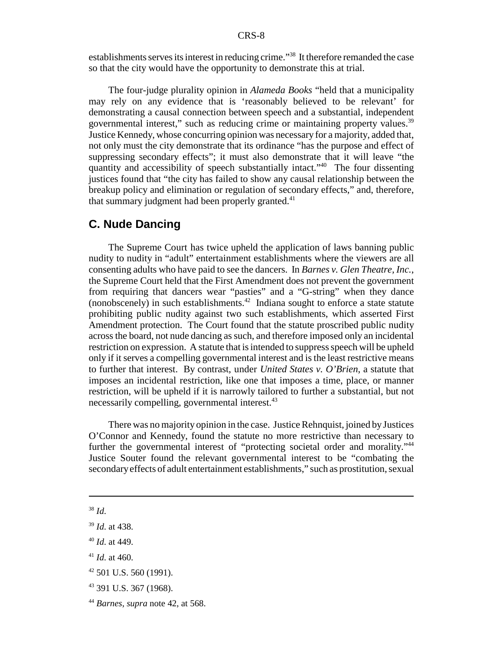establishments serves its interest in reducing crime."<sup>38</sup> It therefore remanded the case so that the city would have the opportunity to demonstrate this at trial.

The four-judge plurality opinion in *Alameda Books* "held that a municipality may rely on any evidence that is 'reasonably believed to be relevant' for demonstrating a causal connection between speech and a substantial, independent governmental interest," such as reducing crime or maintaining property values.<sup>39</sup> Justice Kennedy, whose concurring opinion was necessary for a majority, added that, not only must the city demonstrate that its ordinance "has the purpose and effect of suppressing secondary effects"; it must also demonstrate that it will leave "the quantity and accessibility of speech substantially intact."40 The four dissenting justices found that "the city has failed to show any causal relationship between the breakup policy and elimination or regulation of secondary effects," and, therefore, that summary judgment had been properly granted.<sup>41</sup>

## **C. Nude Dancing**

The Supreme Court has twice upheld the application of laws banning public nudity to nudity in "adult" entertainment establishments where the viewers are all consenting adults who have paid to see the dancers. In *Barnes v. Glen Theatre, Inc.*, the Supreme Court held that the First Amendment does not prevent the government from requiring that dancers wear "pasties" and a "G-string" when they dance (nonobscenely) in such establishments. $42$  Indiana sought to enforce a state statute prohibiting public nudity against two such establishments, which asserted First Amendment protection. The Court found that the statute proscribed public nudity across the board, not nude dancing as such, and therefore imposed only an incidental restriction on expression. A statute that is intended to suppress speech will be upheld only if it serves a compelling governmental interest and is the least restrictive means to further that interest. By contrast, under *United States v. O'Brien*, a statute that imposes an incidental restriction, like one that imposes a time, place, or manner restriction, will be upheld if it is narrowly tailored to further a substantial, but not necessarily compelling, governmental interest.<sup>43</sup>

There was no majority opinion in the case. Justice Rehnquist, joined by Justices O'Connor and Kennedy, found the statute no more restrictive than necessary to further the governmental interest of "protecting societal order and morality."<sup>44</sup> Justice Souter found the relevant governmental interest to be "combating the secondary effects of adult entertainment establishments," such as prostitution, sexual

<sup>38</sup> *Id*.

<sup>39</sup> *Id*. at 438.

<sup>40</sup> *Id*. at 449.

<sup>41</sup> *Id*. at 460.

<sup>42 501</sup> U.S. 560 (1991).

<sup>43 391</sup> U.S. 367 (1968).

<sup>44</sup> *Barnes*, *supra* note 42, at 568.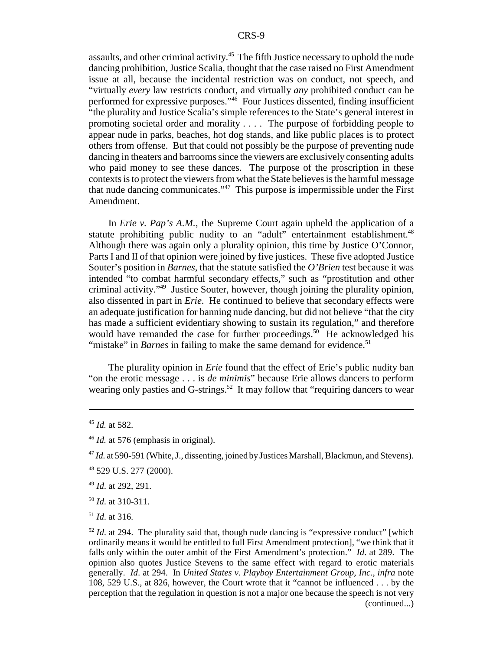assaults, and other criminal activity.<sup>45</sup> The fifth Justice necessary to uphold the nude dancing prohibition, Justice Scalia, thought that the case raised no First Amendment issue at all, because the incidental restriction was on conduct, not speech, and "virtually *every* law restricts conduct, and virtually *any* prohibited conduct can be performed for expressive purposes."46 Four Justices dissented, finding insufficient "the plurality and Justice Scalia's simple references to the State's general interest in promoting societal order and morality . . . . The purpose of forbidding people to appear nude in parks, beaches, hot dog stands, and like public places is to protect others from offense. But that could not possibly be the purpose of preventing nude dancing in theaters and barrooms since the viewers are exclusively consenting adults who paid money to see these dances. The purpose of the proscription in these contexts is to protect the viewers from what the State believes is the harmful message that nude dancing communicates." $47$  This purpose is impermissible under the First Amendment.

In *Erie v. Pap's A.M.*, the Supreme Court again upheld the application of a statute prohibiting public nudity to an "adult" entertainment establishment.<sup>48</sup> Although there was again only a plurality opinion, this time by Justice O'Connor, Parts I and II of that opinion were joined by five justices. These five adopted Justice Souter's position in *Barnes*, that the statute satisfied the *O'Brien* test because it was intended "to combat harmful secondary effects," such as "prostitution and other criminal activity."49 Justice Souter, however, though joining the plurality opinion, also dissented in part in *Erie*. He continued to believe that secondary effects were an adequate justification for banning nude dancing, but did not believe "that the city has made a sufficient evidentiary showing to sustain its regulation," and therefore would have remanded the case for further proceedings.<sup>50</sup> He acknowledged his "mistake" in *Barnes* in failing to make the same demand for evidence.<sup>51</sup>

The plurality opinion in *Erie* found that the effect of Erie's public nudity ban "on the erotic message . . . is *de minimis*" because Erie allows dancers to perform wearing only pasties and G-strings.<sup>52</sup> It may follow that "requiring dancers to wear

<sup>49</sup> *Id*. at 292, 291.

<sup>51</sup> *Id*. at 316.

<sup>45</sup> *Id.* at 582.

<sup>46</sup> *Id.* at 576 (emphasis in original).

<sup>&</sup>lt;sup>47</sup> *Id.* at 590-591 (White, J., dissenting, joined by Justices Marshall, Blackmun, and Stevens).

<sup>48 529</sup> U.S. 277 (2000).

<sup>50</sup> *Id*. at 310-311.

 $52$  *Id.* at 294. The plurality said that, though nude dancing is "expressive conduct" [which ordinarily means it would be entitled to full First Amendment protection], "we think that it falls only within the outer ambit of the First Amendment's protection." *Id*. at 289. The opinion also quotes Justice Stevens to the same effect with regard to erotic materials generally. *Id*. at 294. In *United States v. Playboy Entertainment Group, Inc.*, *infra* note 108, 529 U.S., at 826, however, the Court wrote that it "cannot be influenced . . . by the perception that the regulation in question is not a major one because the speech is not very (continued...)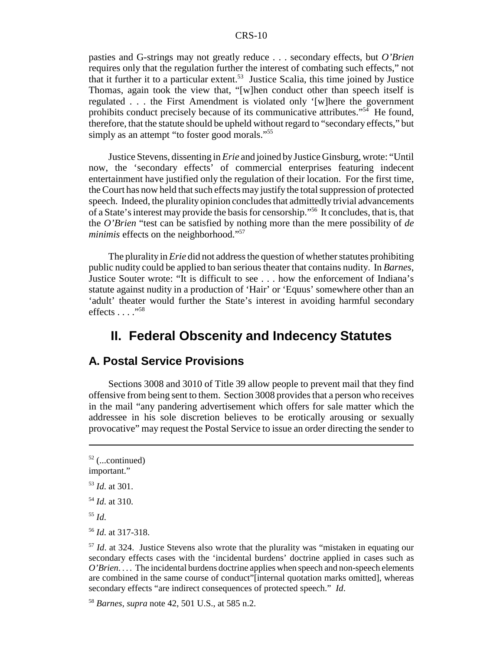pasties and G-strings may not greatly reduce . . . secondary effects, but *O'Brien* requires only that the regulation further the interest of combating such effects," not that it further it to a particular extent.<sup>53</sup> Justice Scalia, this time joined by Justice Thomas, again took the view that, "[w]hen conduct other than speech itself is regulated . . . the First Amendment is violated only '[w]here the government prohibits conduct precisely because of its communicative attributes."54 He found, therefore, that the statute should be upheld without regard to "secondary effects," but simply as an attempt "to foster good morals."<sup>55</sup>

Justice Stevens, dissenting in *Erie* and joined by Justice Ginsburg, wrote: "Until now, the 'secondary effects' of commercial enterprises featuring indecent entertainment have justified only the regulation of their location. For the first time, the Court has now held that such effects may justify the total suppression of protected speech. Indeed, the plurality opinion concludes that admittedly trivial advancements of a State's interest may provide the basis for censorship."56 It concludes, that is, that the *O'Brien* "test can be satisfied by nothing more than the mere possibility of *de minimis* effects on the neighborhood."<sup>57</sup>

The plurality in *Erie* did not address the question of whether statutes prohibiting public nudity could be applied to ban serious theater that contains nudity. In *Barnes*, Justice Souter wrote: "It is difficult to see . . . how the enforcement of Indiana's statute against nudity in a production of 'Hair' or 'Equus' somewhere other than an 'adult' theater would further the State's interest in avoiding harmful secondary effects . . . . "<sup>58</sup>

## **II. Federal Obscenity and Indecency Statutes**

## **A. Postal Service Provisions**

Sections 3008 and 3010 of Title 39 allow people to prevent mail that they find offensive from being sent to them. Section 3008 provides that a person who receives in the mail "any pandering advertisement which offers for sale matter which the addressee in his sole discretion believes to be erotically arousing or sexually provocative" may request the Postal Service to issue an order directing the sender to

 $52$  (...continued) important." <sup>53</sup> *Id*. at 301. <sup>54</sup> *Id*. at 310. <sup>55</sup> *Id*.

<sup>56</sup> *Id*. at 317-318.

<sup>&</sup>lt;sup>57</sup> *Id.* at 324. Justice Stevens also wrote that the plurality was "mistaken in equating our secondary effects cases with the 'incidental burdens' doctrine applied in cases such as *O'Brien*. . . . The incidental burdens doctrine applies when speech and non-speech elements are combined in the same course of conduct"[internal quotation marks omitted], whereas secondary effects "are indirect consequences of protected speech." *Id*.

<sup>58</sup> *Barnes*, *supra* note 42, 501 U.S., at 585 n.2.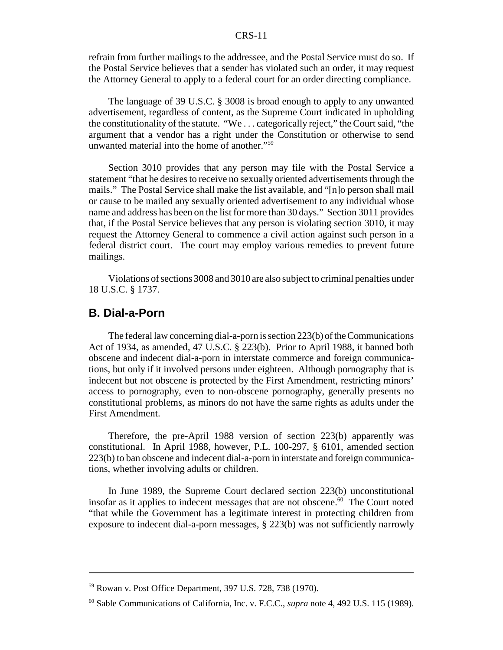refrain from further mailings to the addressee, and the Postal Service must do so. If the Postal Service believes that a sender has violated such an order, it may request the Attorney General to apply to a federal court for an order directing compliance.

The language of 39 U.S.C. § 3008 is broad enough to apply to any unwanted advertisement, regardless of content, as the Supreme Court indicated in upholding the constitutionality of the statute. "We . . . categorically reject," the Court said, "the argument that a vendor has a right under the Constitution or otherwise to send unwanted material into the home of another."59

Section 3010 provides that any person may file with the Postal Service a statement "that he desires to receive no sexually oriented advertisements through the mails." The Postal Service shall make the list available, and "[n]o person shall mail or cause to be mailed any sexually oriented advertisement to any individual whose name and address has been on the list for more than 30 days." Section 3011 provides that, if the Postal Service believes that any person is violating section 3010, it may request the Attorney General to commence a civil action against such person in a federal district court. The court may employ various remedies to prevent future mailings.

Violations of sections 3008 and 3010 are also subject to criminal penalties under 18 U.S.C. § 1737.

## **B. Dial-a-Porn**

The federal law concerning dial-a-porn is section 223(b) of the Communications Act of 1934, as amended, 47 U.S.C. § 223(b). Prior to April 1988, it banned both obscene and indecent dial-a-porn in interstate commerce and foreign communications, but only if it involved persons under eighteen. Although pornography that is indecent but not obscene is protected by the First Amendment, restricting minors' access to pornography, even to non-obscene pornography, generally presents no constitutional problems, as minors do not have the same rights as adults under the First Amendment.

Therefore, the pre-April 1988 version of section 223(b) apparently was constitutional. In April 1988, however, P.L. 100-297, § 6101, amended section 223(b) to ban obscene and indecent dial-a-porn in interstate and foreign communications, whether involving adults or children.

In June 1989, the Supreme Court declared section 223(b) unconstitutional insofar as it applies to indecent messages that are not obscene.<sup>60</sup> The Court noted "that while the Government has a legitimate interest in protecting children from exposure to indecent dial-a-porn messages, § 223(b) was not sufficiently narrowly

<sup>59</sup> Rowan v. Post Office Department, 397 U.S. 728, 738 (1970).

<sup>60</sup> Sable Communications of California, Inc. v. F.C.C., *supra* note 4, 492 U.S. 115 (1989).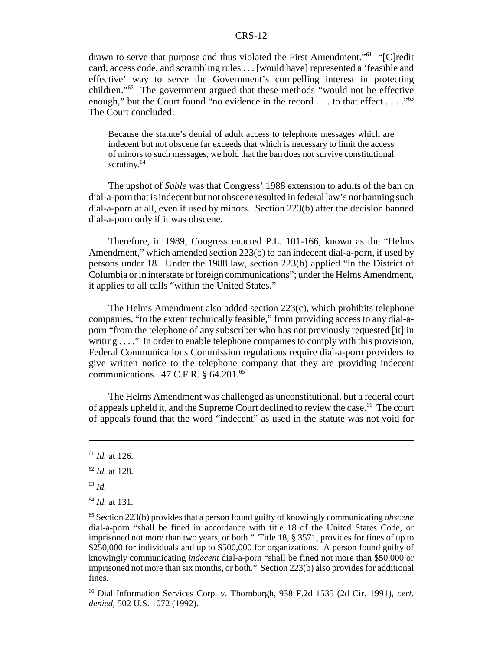drawn to serve that purpose and thus violated the First Amendment."61 "[C]redit card, access code, and scrambling rules . . . [would have] represented a 'feasible and effective' way to serve the Government's compelling interest in protecting children."62 The government argued that these methods "would not be effective enough," but the Court found "no evidence in the record . . . to that effect . . . ."<sup>63</sup> The Court concluded:

Because the statute's denial of adult access to telephone messages which are indecent but not obscene far exceeds that which is necessary to limit the access of minors to such messages, we hold that the ban does not survive constitutional scrutiny.<sup>64</sup>

The upshot of *Sable* was that Congress' 1988 extension to adults of the ban on dial-a-porn that is indecent but not obscene resulted in federal law's not banning such dial-a-porn at all, even if used by minors. Section 223(b) after the decision banned dial-a-porn only if it was obscene.

Therefore, in 1989, Congress enacted P.L. 101-166, known as the "Helms Amendment," which amended section 223(b) to ban indecent dial-a-porn, if used by persons under 18. Under the 1988 law, section 223(b) applied "in the District of Columbia or in interstate or foreign communications"; under the Helms Amendment, it applies to all calls "within the United States."

The Helms Amendment also added section 223(c), which prohibits telephone companies, "to the extent technically feasible," from providing access to any dial-aporn "from the telephone of any subscriber who has not previously requested [it] in writing . . . ." In order to enable telephone companies to comply with this provision, Federal Communications Commission regulations require dial-a-porn providers to give written notice to the telephone company that they are providing indecent communications.  $47$  C.F.R. § 64.201.<sup>65</sup>

The Helms Amendment was challenged as unconstitutional, but a federal court of appeals upheld it, and the Supreme Court declined to review the case.<sup>66</sup> The court of appeals found that the word "indecent" as used in the statute was not void for

<sup>61</sup> *Id.* at 126.

<sup>62</sup> *Id.* at 128.

<sup>63</sup> *Id.*

<sup>64</sup> *Id.* at 131.

<sup>65</sup> Section 223(b) provides that a person found guilty of knowingly communicating *obscene* dial-a-porn "shall be fined in accordance with title 18 of the United States Code, or imprisoned not more than two years, or both." Title 18, § 3571, provides for fines of up to \$250,000 for individuals and up to \$500,000 for organizations. A person found guilty of knowingly communicating *indecent* dial-a-porn "shall be fined not more than \$50,000 or imprisoned not more than six months, or both." Section 223(b) also provides for additional fines.

<sup>66</sup> Dial Information Services Corp. v. Thornburgh, 938 F.2d 1535 (2d Cir. 1991), *cert. denied*, 502 U.S. 1072 (1992).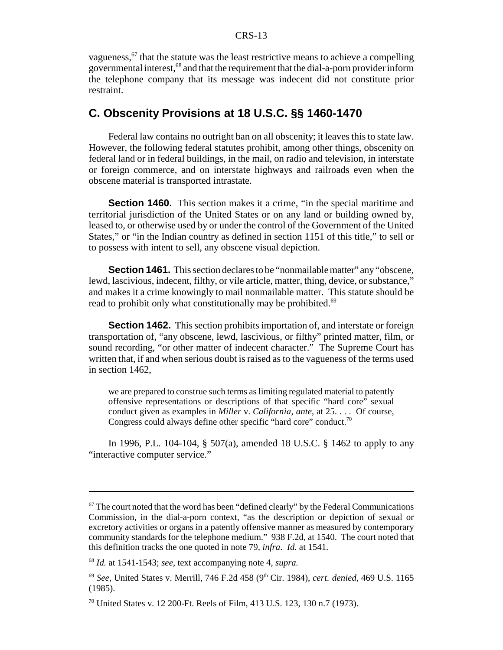vagueness,  $67$  that the statute was the least restrictive means to achieve a compelling governmental interest,<sup>68</sup> and that the requirement that the dial-a-porn provider inform the telephone company that its message was indecent did not constitute prior restraint.

## **C. Obscenity Provisions at 18 U.S.C. §§ 1460-1470**

Federal law contains no outright ban on all obscenity; it leaves this to state law. However, the following federal statutes prohibit, among other things, obscenity on federal land or in federal buildings, in the mail, on radio and television, in interstate or foreign commerce, and on interstate highways and railroads even when the obscene material is transported intrastate.

**Section 1460.** This section makes it a crime, "in the special maritime and territorial jurisdiction of the United States or on any land or building owned by, leased to, or otherwise used by or under the control of the Government of the United States," or "in the Indian country as defined in section 1151 of this title," to sell or to possess with intent to sell, any obscene visual depiction.

**Section 1461.** This section declares to be "nonmailable matter" any "obscene, lewd, lascivious, indecent, filthy, or vile article, matter, thing, device, or substance," and makes it a crime knowingly to mail nonmailable matter. This statute should be read to prohibit only what constitutionally may be prohibited.<sup>69</sup>

**Section 1462.** This section prohibits importation of, and interstate or foreign transportation of, "any obscene, lewd, lascivious, or filthy" printed matter, film, or sound recording, "or other matter of indecent character." The Supreme Court has written that, if and when serious doubt is raised as to the vagueness of the terms used in section 1462,

we are prepared to construe such terms as limiting regulated material to patently offensive representations or descriptions of that specific "hard core" sexual conduct given as examples in *Miller* v. *California*, *ante*, at 25. . . . Of course, Congress could always define other specific "hard core" conduct.<sup>70</sup>

In 1996, P.L. 104-104, § 507(a), amended 18 U.S.C. § 1462 to apply to any "interactive computer service."

 $67$  The court noted that the word has been "defined clearly" by the Federal Communications Commission, in the dial-a-porn context, "as the description or depiction of sexual or excretory activities or organs in a patently offensive manner as measured by contemporary community standards for the telephone medium." 938 F.2d, at 1540. The court noted that this definition tracks the one quoted in note 79, *infra*. *Id.* at 1541.

<sup>68</sup> *Id.* at 1541-1543; *see*, text accompanying note 4, *supra.*

<sup>69</sup> *See*, United States v. Merrill, 746 F.2d 458 (9th Cir. 1984), *cert. denied*, 469 U.S. 1165 (1985).

<sup>70</sup> United States v. 12 200-Ft. Reels of Film, 413 U.S. 123, 130 n.7 (1973).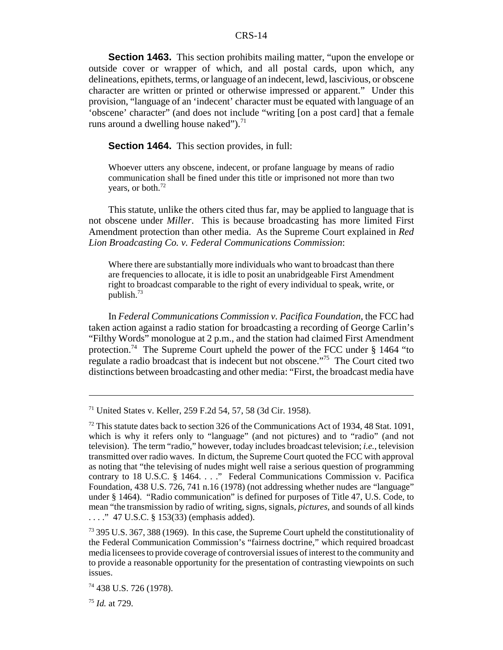**Section 1463.** This section prohibits mailing matter, "upon the envelope or outside cover or wrapper of which, and all postal cards, upon which, any delineations, epithets, terms, or language of an indecent, lewd, lascivious, or obscene character are written or printed or otherwise impressed or apparent." Under this provision, "language of an 'indecent' character must be equated with language of an 'obscene' character" (and does not include "writing [on a post card] that a female runs around a dwelling house naked" $\cdot$ <sup>71</sup>

**Section 1464.** This section provides, in full:

Whoever utters any obscene, indecent, or profane language by means of radio communication shall be fined under this title or imprisoned not more than two years, or both.<sup>72</sup>

This statute, unlike the others cited thus far, may be applied to language that is not obscene under *Miller*. This is because broadcasting has more limited First Amendment protection than other media. As the Supreme Court explained in *Red Lion Broadcasting Co. v. Federal Communications Commission*:

Where there are substantially more individuals who want to broadcast than there are frequencies to allocate, it is idle to posit an unabridgeable First Amendment right to broadcast comparable to the right of every individual to speak, write, or publish.73

In *Federal Communications Commission v. Pacifica Foundation*, the FCC had taken action against a radio station for broadcasting a recording of George Carlin's "Filthy Words" monologue at 2 p.m., and the station had claimed First Amendment protection.<sup>74</sup> The Supreme Court upheld the power of the FCC under  $\S$  1464 "to regulate a radio broadcast that is indecent but not obscene."75 The Court cited two distinctions between broadcasting and other media: "First, the broadcast media have

<sup>71</sup> United States v. Keller, 259 F.2d 54, 57, 58 (3d Cir. 1958).

 $72$  This statute dates back to section 326 of the Communications Act of 1934, 48 Stat. 1091, which is why it refers only to "language" (and not pictures) and to "radio" (and not television). The term "radio," however, today includes broadcast television; *i.e.*, television transmitted over radio waves. In dictum, the Supreme Court quoted the FCC with approval as noting that "the televising of nudes might well raise a serious question of programming contrary to 18 U.S.C. § 1464. . . ." Federal Communications Commission v. Pacifica Foundation, 438 U.S. 726, 741 n.16 (1978) (not addressing whether nudes are "language" under § 1464). "Radio communication" is defined for purposes of Title 47, U.S. Code, to mean "the transmission by radio of writing, signs, signals, *pictures*, and sounds of all kinds . . . ." 47 U.S.C. § 153(33) (emphasis added).

<sup>&</sup>lt;sup>73</sup> 395 U.S. 367, 388 (1969). In this case, the Supreme Court upheld the constitutionality of the Federal Communication Commission's "fairness doctrine," which required broadcast media licensees to provide coverage of controversial issues of interest to the community and to provide a reasonable opportunity for the presentation of contrasting viewpoints on such issues.

<sup>74 438</sup> U.S. 726 (1978).

<sup>75</sup> *Id.* at 729.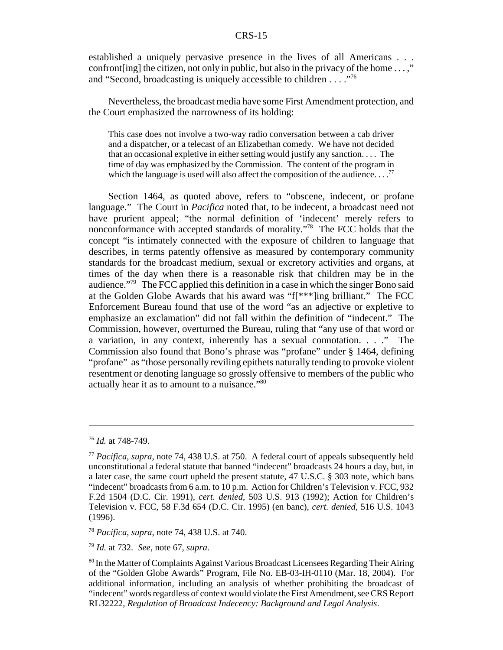established a uniquely pervasive presence in the lives of all Americans . . . confront [ing] the citizen, not only in public, but also in the privacy of the home  $\dots$ ," and "Second, broadcasting is uniquely accessible to children . . . ."76

Nevertheless, the broadcast media have some First Amendment protection, and the Court emphasized the narrowness of its holding:

This case does not involve a two-way radio conversation between a cab driver and a dispatcher, or a telecast of an Elizabethan comedy. We have not decided that an occasional expletive in either setting would justify any sanction. . . . The time of day was emphasized by the Commission. The content of the program in which the language is used will also affect the composition of the audience.  $\ldots$ <sup>77</sup>

Section 1464, as quoted above, refers to "obscene, indecent, or profane language." The Court in *Pacifica* noted that, to be indecent, a broadcast need not have prurient appeal; "the normal definition of 'indecent' merely refers to nonconformance with accepted standards of morality."78 The FCC holds that the concept "is intimately connected with the exposure of children to language that describes, in terms patently offensive as measured by contemporary community standards for the broadcast medium, sexual or excretory activities and organs, at times of the day when there is a reasonable risk that children may be in the audience."79 The FCC applied this definition in a case in which the singer Bono said at the Golden Globe Awards that his award was "f[\*\*\*]ing brilliant." The FCC Enforcement Bureau found that use of the word "as an adjective or expletive to emphasize an exclamation" did not fall within the definition of "indecent." The Commission, however, overturned the Bureau, ruling that "any use of that word or a variation, in any context, inherently has a sexual connotation. . . ." The Commission also found that Bono's phrase was "profane" under § 1464, defining "profane" as "those personally reviling epithets naturally tending to provoke violent resentment or denoting language so grossly offensive to members of the public who actually hear it as to amount to a nuisance."80

<sup>76</sup> *Id.* at 748-749.

<sup>77</sup> *Pacifica*, *supra*, note 74, 438 U.S. at 750. A federal court of appeals subsequently held unconstitutional a federal statute that banned "indecent" broadcasts 24 hours a day, but, in a later case, the same court upheld the present statute, 47 U.S.C. § 303 note, which bans "indecent" broadcasts from 6 a.m. to 10 p.m. Action for Children's Television v. FCC, 932 F.2d 1504 (D.C. Cir. 1991), *cert. denied*, 503 U.S. 913 (1992); Action for Children's Television v. FCC, 58 F.3d 654 (D.C. Cir. 1995) (en banc), *cert. denied*, 516 U.S. 1043 (1996).

<sup>78</sup> *Pacifica*, *supra*, note 74, 438 U.S. at 740.

<sup>79</sup> *Id.* at 732. *See*, note 67, *supra*.

<sup>80</sup> In the Matter of Complaints Against Various Broadcast Licensees Regarding Their Airing of the "Golden Globe Awards" Program, File No. EB-03-IH-0110 (Mar. 18, 2004). For additional information, including an analysis of whether prohibiting the broadcast of "indecent" words regardless of context would violate the First Amendment, see CRS Report RL32222, *Regulation of Broadcast Indecency: Background and Legal Analysis*.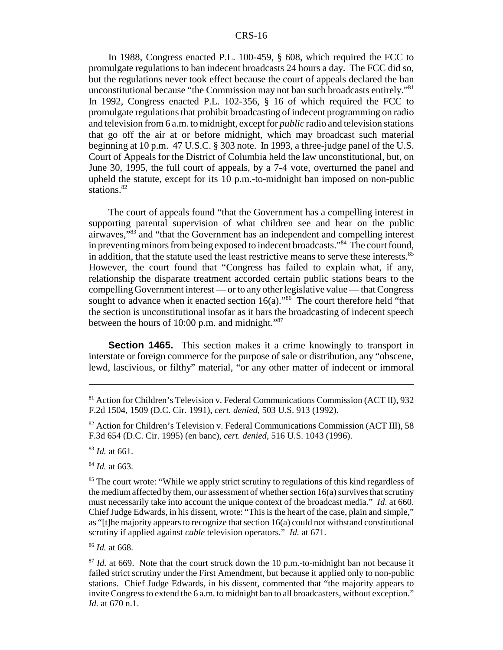In 1988, Congress enacted P.L. 100-459, § 608, which required the FCC to promulgate regulations to ban indecent broadcasts 24 hours a day. The FCC did so, but the regulations never took effect because the court of appeals declared the ban unconstitutional because "the Commission may not ban such broadcasts entirely."81 In 1992, Congress enacted P.L. 102-356, § 16 of which required the FCC to promulgate regulations that prohibit broadcasting of indecent programming on radio and television from 6 a.m. to midnight, except for *public* radio and television stations that go off the air at or before midnight, which may broadcast such material beginning at 10 p.m. 47 U.S.C. § 303 note. In 1993, a three-judge panel of the U.S. Court of Appeals for the District of Columbia held the law unconstitutional, but, on June 30, 1995, the full court of appeals, by a 7-4 vote, overturned the panel and upheld the statute, except for its 10 p.m.-to-midnight ban imposed on non-public stations.<sup>82</sup>

The court of appeals found "that the Government has a compelling interest in supporting parental supervision of what children see and hear on the public airwaves,"83 and "that the Government has an independent and compelling interest in preventing minors from being exposed to indecent broadcasts."84 The court found, in addition, that the statute used the least restrictive means to serve these interests.<sup>85</sup> However, the court found that "Congress has failed to explain what, if any, relationship the disparate treatment accorded certain public stations bears to the compelling Government interest — or to any other legislative value — that Congress sought to advance when it enacted section  $16(a)$ ."<sup>86</sup> The court therefore held "that the section is unconstitutional insofar as it bars the broadcasting of indecent speech between the hours of 10:00 p.m. and midnight."<sup>87</sup>

**Section 1465.** This section makes it a crime knowingly to transport in interstate or foreign commerce for the purpose of sale or distribution, any "obscene, lewd, lascivious, or filthy" material, "or any other matter of indecent or immoral

<sup>83</sup> *Id.* at 661.

<sup>84</sup> *Id.* at 663.

<sup>86</sup> *Id.* at 668.

<sup>81</sup> Action for Children's Television v. Federal Communications Commission (ACT II), 932 F.2d 1504, 1509 (D.C. Cir. 1991), *cert. denied*, 503 U.S. 913 (1992).

<sup>82</sup> Action for Children's Television v. Federal Communications Commission (ACT III), 58 F.3d 654 (D.C. Cir. 1995) (en banc), *cert. denied*, 516 U.S. 1043 (1996).

<sup>&</sup>lt;sup>85</sup> The court wrote: "While we apply strict scrutiny to regulations of this kind regardless of the medium affected by them, our assessment of whether section 16(a) survives that scrutiny must necessarily take into account the unique context of the broadcast media." *Id*. at 660. Chief Judge Edwards, in his dissent, wrote: "This is the heart of the case, plain and simple," as "[t]he majority appears to recognize that section 16(a) could not withstand constitutional scrutiny if applied against *cable* television operators." *Id.* at 671.

<sup>&</sup>lt;sup>87</sup> *Id.* at 669. Note that the court struck down the 10 p.m.-to-midnight ban not because it failed strict scrutiny under the First Amendment, but because it applied only to non-public stations. Chief Judge Edwards, in his dissent, commented that "the majority appears to invite Congress to extend the 6 a.m. to midnight ban to all broadcasters, without exception." *Id.* at 670 n.1.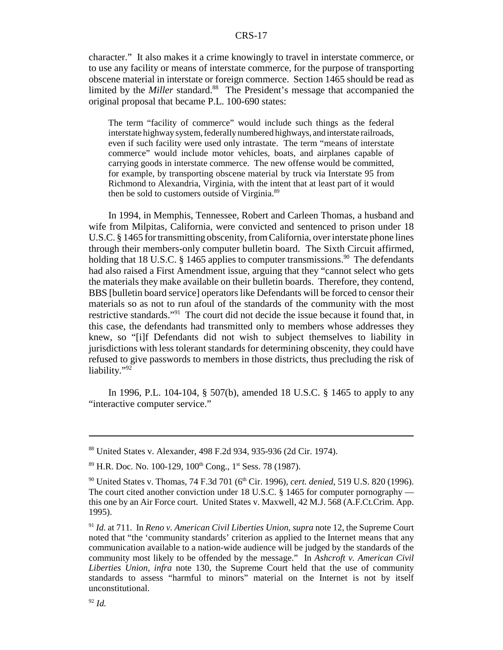character." It also makes it a crime knowingly to travel in interstate commerce, or to use any facility or means of interstate commerce, for the purpose of transporting obscene material in interstate or foreign commerce. Section 1465 should be read as limited by the *Miller* standard.<sup>88</sup> The President's message that accompanied the original proposal that became P.L. 100-690 states:

The term "facility of commerce" would include such things as the federal interstate highway system, federally numbered highways, and interstate railroads, even if such facility were used only intrastate. The term "means of interstate commerce" would include motor vehicles, boats, and airplanes capable of carrying goods in interstate commerce. The new offense would be committed, for example, by transporting obscene material by truck via Interstate 95 from Richmond to Alexandria, Virginia, with the intent that at least part of it would then be sold to customers outside of Virginia.<sup>89</sup>

In 1994, in Memphis, Tennessee, Robert and Carleen Thomas, a husband and wife from Milpitas, California, were convicted and sentenced to prison under 18 U.S.C. § 1465 for transmitting obscenity, from California, over interstate phone lines through their members-only computer bulletin board. The Sixth Circuit affirmed, holding that 18 U.S.C.  $\S$  1465 applies to computer transmissions.<sup>90</sup> The defendants had also raised a First Amendment issue, arguing that they "cannot select who gets the materials they make available on their bulletin boards. Therefore, they contend, BBS [bulletin board service] operators like Defendants will be forced to censor their materials so as not to run afoul of the standards of the community with the most restrictive standards."91 The court did not decide the issue because it found that, in this case, the defendants had transmitted only to members whose addresses they knew, so "[i]f Defendants did not wish to subject themselves to liability in jurisdictions with less tolerant standards for determining obscenity, they could have refused to give passwords to members in those districts, thus precluding the risk of liability."92

In 1996, P.L. 104-104, § 507(b), amended 18 U.S.C. § 1465 to apply to any "interactive computer service."

<sup>88</sup> United States v. Alexander, 498 F.2d 934, 935-936 (2d Cir. 1974).

 $89$  H.R. Doc. No. 100-129, 100<sup>th</sup> Cong., 1<sup>st</sup> Sess. 78 (1987).

<sup>&</sup>lt;sup>90</sup> United States v. Thomas, 74 F.3d 701 (6<sup>th</sup> Cir. 1996), *cert. denied*, 519 U.S. 820 (1996). The court cited another conviction under 18 U.S.C. § 1465 for computer pornography this one by an Air Force court. United States v. Maxwell, 42 M.J. 568 (A.F.Ct.Crim. App. 1995).

<sup>91</sup> *Id.* at 711. In *Reno v. American Civil Liberties Union*, *supra* note 12, the Supreme Court noted that "the 'community standards' criterion as applied to the Internet means that any communication available to a nation-wide audience will be judged by the standards of the community most likely to be offended by the message." In *Ashcroft v. American Civil Liberties Union*, *infra* note 130, the Supreme Court held that the use of community standards to assess "harmful to minors" material on the Internet is not by itself unconstitutional.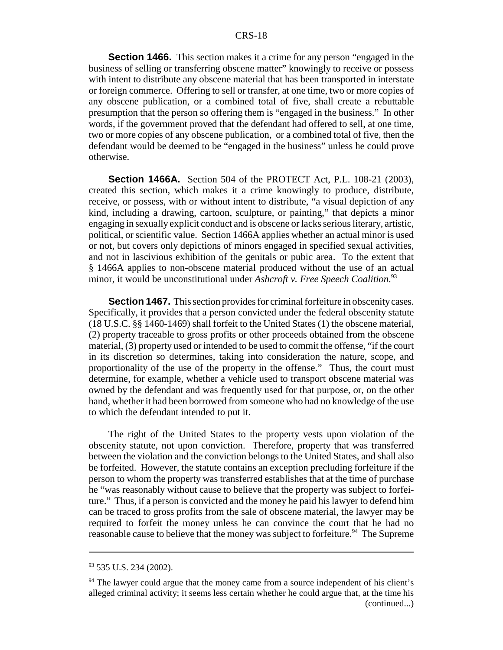**Section 1466.** This section makes it a crime for any person "engaged in the business of selling or transferring obscene matter" knowingly to receive or possess with intent to distribute any obscene material that has been transported in interstate or foreign commerce. Offering to sell or transfer, at one time, two or more copies of any obscene publication, or a combined total of five, shall create a rebuttable presumption that the person so offering them is "engaged in the business." In other words, if the government proved that the defendant had offered to sell, at one time, two or more copies of any obscene publication, or a combined total of five, then the defendant would be deemed to be "engaged in the business" unless he could prove otherwise.

**Section 1466A.** Section 504 of the PROTECT Act, P.L. 108-21 (2003), created this section, which makes it a crime knowingly to produce, distribute, receive, or possess, with or without intent to distribute, "a visual depiction of any kind, including a drawing, cartoon, sculpture, or painting," that depicts a minor engaging in sexually explicit conduct and is obscene or lacks serious literary, artistic, political, or scientific value. Section 1466A applies whether an actual minor is used or not, but covers only depictions of minors engaged in specified sexual activities, and not in lascivious exhibition of the genitals or pubic area. To the extent that § 1466A applies to non-obscene material produced without the use of an actual minor, it would be unconstitutional under *Ashcroft v. Free Speech Coalition*. 93

**Section 1467.** This section provides for criminal forfeiture in obscenity cases. Specifically, it provides that a person convicted under the federal obscenity statute (18 U.S.C. §§ 1460-1469) shall forfeit to the United States (1) the obscene material, (2) property traceable to gross profits or other proceeds obtained from the obscene material, (3) property used or intended to be used to commit the offense, "if the court in its discretion so determines, taking into consideration the nature, scope, and proportionality of the use of the property in the offense." Thus, the court must determine, for example, whether a vehicle used to transport obscene material was owned by the defendant and was frequently used for that purpose, or, on the other hand, whether it had been borrowed from someone who had no knowledge of the use to which the defendant intended to put it.

The right of the United States to the property vests upon violation of the obscenity statute, not upon conviction. Therefore, property that was transferred between the violation and the conviction belongs to the United States, and shall also be forfeited. However, the statute contains an exception precluding forfeiture if the person to whom the property was transferred establishes that at the time of purchase he "was reasonably without cause to believe that the property was subject to forfeiture." Thus, if a person is convicted and the money he paid his lawyer to defend him can be traced to gross profits from the sale of obscene material, the lawyer may be required to forfeit the money unless he can convince the court that he had no reasonable cause to believe that the money was subject to forfeiture.<sup>94</sup> The Supreme

 $93$  535 U.S. 234 (2002).

<sup>&</sup>lt;sup>94</sup> The lawyer could argue that the money came from a source independent of his client's alleged criminal activity; it seems less certain whether he could argue that, at the time his (continued...)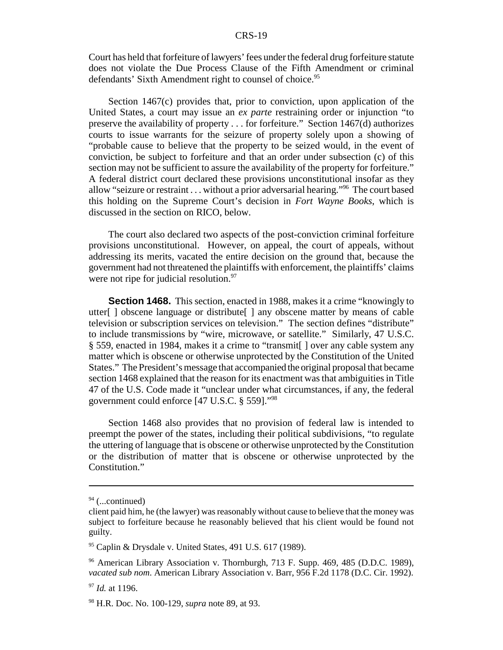Court has held that forfeiture of lawyers' fees under the federal drug forfeiture statute does not violate the Due Process Clause of the Fifth Amendment or criminal defendants' Sixth Amendment right to counsel of choice.<sup>95</sup>

Section 1467(c) provides that, prior to conviction, upon application of the United States, a court may issue an *ex parte* restraining order or injunction "to preserve the availability of property . . . for forfeiture." Section 1467(d) authorizes courts to issue warrants for the seizure of property solely upon a showing of "probable cause to believe that the property to be seized would, in the event of conviction, be subject to forfeiture and that an order under subsection (c) of this section may not be sufficient to assure the availability of the property for forfeiture." A federal district court declared these provisions unconstitutional insofar as they allow "seizure or restraint . . . without a prior adversarial hearing."96 The court based this holding on the Supreme Court's decision in *Fort Wayne Books*, which is discussed in the section on RICO, below.

The court also declared two aspects of the post-conviction criminal forfeiture provisions unconstitutional. However, on appeal, the court of appeals, without addressing its merits, vacated the entire decision on the ground that, because the government had not threatened the plaintiffs with enforcement, the plaintiffs' claims were not ripe for judicial resolution.<sup>97</sup>

**Section 1468.** This section, enacted in 1988, makes it a crime "knowingly to utter[ ] obscene language or distribute[ ] any obscene matter by means of cable television or subscription services on television." The section defines "distribute" to include transmissions by "wire, microwave, or satellite." Similarly, 47 U.S.C. § 559, enacted in 1984, makes it a crime to "transmit[ ] over any cable system any matter which is obscene or otherwise unprotected by the Constitution of the United States." The President's message that accompanied the original proposal that became section 1468 explained that the reason for its enactment was that ambiguities in Title 47 of the U.S. Code made it "unclear under what circumstances, if any, the federal government could enforce [47 U.S.C. § 559]."98

Section 1468 also provides that no provision of federal law is intended to preempt the power of the states, including their political subdivisions, "to regulate the uttering of language that is obscene or otherwise unprotected by the Constitution or the distribution of matter that is obscene or otherwise unprotected by the Constitution."

 $94$  (...continued)

client paid him, he (the lawyer) was reasonably without cause to believe that the money was subject to forfeiture because he reasonably believed that his client would be found not guilty.

<sup>95</sup> Caplin & Drysdale v. United States, 491 U.S. 617 (1989).

<sup>96</sup> American Library Association v. Thornburgh, 713 F. Supp. 469, 485 (D.D.C. 1989), *vacated sub nom*. American Library Association v. Barr, 956 F.2d 1178 (D.C. Cir. 1992).

<sup>97</sup> *Id.* at 1196.

<sup>98</sup> H.R. Doc. No. 100-129, *supra* note 89, at 93.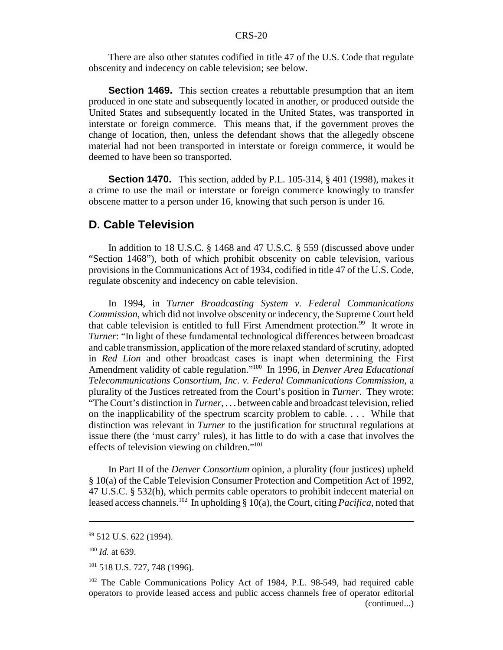There are also other statutes codified in title 47 of the U.S. Code that regulate obscenity and indecency on cable television; see below.

**Section 1469.** This section creates a rebuttable presumption that an item produced in one state and subsequently located in another, or produced outside the United States and subsequently located in the United States, was transported in interstate or foreign commerce. This means that, if the government proves the change of location, then, unless the defendant shows that the allegedly obscene material had not been transported in interstate or foreign commerce, it would be deemed to have been so transported.

**Section 1470.** This section, added by P.L. 105-314, § 401 (1998), makes it a crime to use the mail or interstate or foreign commerce knowingly to transfer obscene matter to a person under 16, knowing that such person is under 16.

## **D. Cable Television**

In addition to 18 U.S.C. § 1468 and 47 U.S.C. § 559 (discussed above under "Section 1468"), both of which prohibit obscenity on cable television, various provisions in the Communications Act of 1934, codified in title 47 of the U.S. Code, regulate obscenity and indecency on cable television.

In 1994, in *Turner Broadcasting System v. Federal Communications Commission*, which did not involve obscenity or indecency, the Supreme Court held that cable television is entitled to full First Amendment protection.<sup>99</sup> It wrote in *Turner*: "In light of these fundamental technological differences between broadcast and cable transmission, application of the more relaxed standard of scrutiny, adopted in *Red Lion* and other broadcast cases is inapt when determining the First Amendment validity of cable regulation."100 In 1996, in *Denver Area Educational Telecommunications Consortium, Inc. v. Federal Communications Commission*, a plurality of the Justices retreated from the Court's position in *Turner*. They wrote: "The Court's distinction in *Turner*, . . . between cable and broadcast television, relied on the inapplicability of the spectrum scarcity problem to cable. . . . While that distinction was relevant in *Turner* to the justification for structural regulations at issue there (the 'must carry' rules), it has little to do with a case that involves the effects of television viewing on children."101

In Part II of the *Denver Consortium* opinion, a plurality (four justices) upheld § 10(a) of the Cable Television Consumer Protection and Competition Act of 1992, 47 U.S.C. § 532(h), which permits cable operators to prohibit indecent material on leased access channels.102 In upholding § 10(a), the Court, citing *Pacifica*, noted that

<sup>&</sup>lt;sup>99</sup> 512 U.S. 622 (1994).

<sup>100</sup> *Id.* at 639.

<sup>101 518</sup> U.S. 727, 748 (1996).

<sup>&</sup>lt;sup>102</sup> The Cable Communications Policy Act of 1984, P.L. 98-549, had required cable operators to provide leased access and public access channels free of operator editorial (continued...)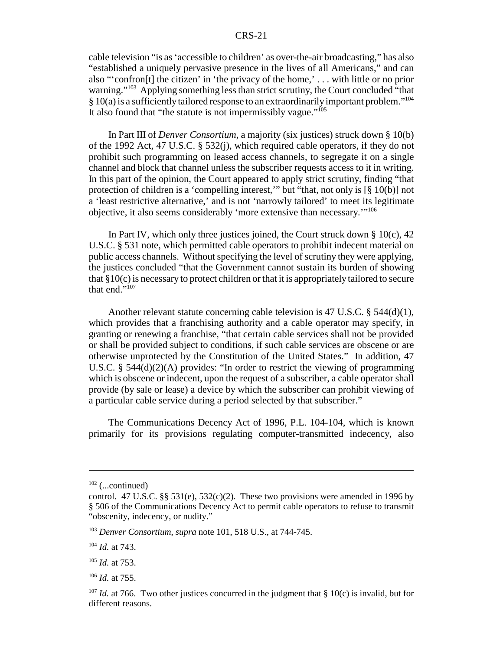cable television "is as 'accessible to children' as over-the-air broadcasting," has also "established a uniquely pervasive presence in the lives of all Americans," and can also "'confron[t] the citizen' in 'the privacy of the home,' . . . with little or no prior warning."<sup>103</sup> Applying something less than strict scrutiny, the Court concluded "that  $§ 10(a)$  is a sufficiently tailored response to an extraordinarily important problem."<sup>104</sup> It also found that "the statute is not impermissibly vague."105

In Part III of *Denver Consortium*, a majority (six justices) struck down § 10(b) of the 1992 Act, 47 U.S.C. § 532(j), which required cable operators, if they do not prohibit such programming on leased access channels, to segregate it on a single channel and block that channel unless the subscriber requests access to it in writing. In this part of the opinion, the Court appeared to apply strict scrutiny, finding "that protection of children is a 'compelling interest,'" but "that, not only is [§ 10(b)] not a 'least restrictive alternative,' and is not 'narrowly tailored' to meet its legitimate objective, it also seems considerably 'more extensive than necessary.'"106

In Part IV, which only three justices joined, the Court struck down  $\S 10(c)$ , 42 U.S.C. § 531 note, which permitted cable operators to prohibit indecent material on public access channels. Without specifying the level of scrutiny they were applying, the justices concluded "that the Government cannot sustain its burden of showing that §10(c) is necessary to protect children or that it is appropriately tailored to secure that end."<sup>107</sup>

Another relevant statute concerning cable television is 47 U.S.C. § 544(d)(1), which provides that a franchising authority and a cable operator may specify, in granting or renewing a franchise, "that certain cable services shall not be provided or shall be provided subject to conditions, if such cable services are obscene or are otherwise unprotected by the Constitution of the United States." In addition, 47 U.S.C. § 544(d)(2)(A) provides: "In order to restrict the viewing of programming which is obscene or indecent, upon the request of a subscriber, a cable operator shall provide (by sale or lease) a device by which the subscriber can prohibit viewing of a particular cable service during a period selected by that subscriber."

The Communications Decency Act of 1996, P.L. 104-104, which is known primarily for its provisions regulating computer-transmitted indecency, also

<sup>106</sup> *Id.* at 755.

 $102$  (...continued)

control. 47 U.S.C. §§ 531(e), 532(c)(2). These two provisions were amended in 1996 by § 506 of the Communications Decency Act to permit cable operators to refuse to transmit "obscenity, indecency, or nudity."

<sup>103</sup> *Denver Consortium*, *supra* note 101, 518 U.S., at 744-745.

<sup>104</sup> *Id.* at 743.

<sup>105</sup> *Id.* at 753.

<sup>&</sup>lt;sup>107</sup> *Id.* at 766. Two other justices concurred in the judgment that § 10(c) is invalid, but for different reasons.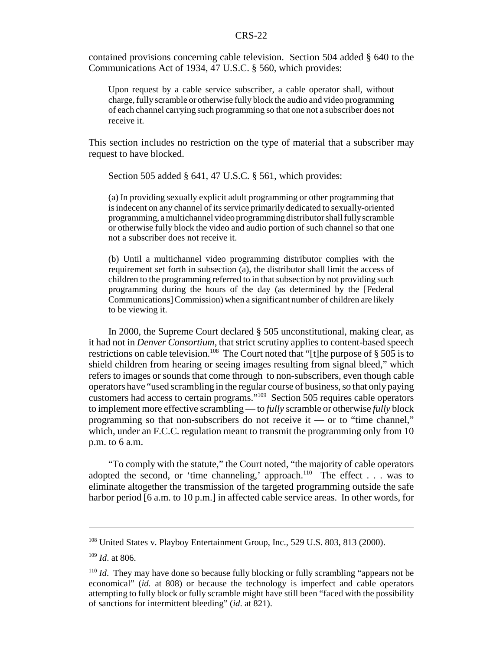contained provisions concerning cable television. Section 504 added § 640 to the Communications Act of 1934, 47 U.S.C. § 560, which provides:

Upon request by a cable service subscriber, a cable operator shall, without charge, fully scramble or otherwise fully block the audio and video programming of each channel carrying such programming so that one not a subscriber does not receive it.

This section includes no restriction on the type of material that a subscriber may request to have blocked.

Section 505 added § 641, 47 U.S.C. § 561, which provides:

(a) In providing sexually explicit adult programming or other programming that is indecent on any channel of its service primarily dedicated to sexually-oriented programming, a multichannel video programming distributor shall fully scramble or otherwise fully block the video and audio portion of such channel so that one not a subscriber does not receive it.

(b) Until a multichannel video programming distributor complies with the requirement set forth in subsection (a), the distributor shall limit the access of children to the programming referred to in that subsection by not providing such programming during the hours of the day (as determined by the [Federal Communications] Commission) when a significant number of children are likely to be viewing it.

In 2000, the Supreme Court declared § 505 unconstitutional, making clear, as it had not in *Denver Consortium*, that strict scrutiny applies to content-based speech restrictions on cable television.<sup>108</sup> The Court noted that "[t]he purpose of  $\S$  505 is to shield children from hearing or seeing images resulting from signal bleed," which refers to images or sounds that come through to non-subscribers, even though cable operators have "used scrambling in the regular course of business, so that only paying customers had access to certain programs."109 Section 505 requires cable operators to implement more effective scrambling — to *fully* scramble or otherwise *fully* block programming so that non-subscribers do not receive it — or to "time channel," which, under an F.C.C. regulation meant to transmit the programming only from 10 p.m. to 6 a.m.

"To comply with the statute," the Court noted, "the majority of cable operators adopted the second, or 'time channeling,' approach.<sup>110</sup> The effect . . . was to eliminate altogether the transmission of the targeted programming outside the safe harbor period [6 a.m. to 10 p.m.] in affected cable service areas. In other words, for

<sup>&</sup>lt;sup>108</sup> United States v. Playboy Entertainment Group, Inc., 529 U.S. 803, 813 (2000).

<sup>109</sup> *Id*. at 806.

<sup>&</sup>lt;sup>110</sup> *Id.* They may have done so because fully blocking or fully scrambling "appears not be economical" (*id.* at 808) or because the technology is imperfect and cable operators attempting to fully block or fully scramble might have still been "faced with the possibility of sanctions for intermittent bleeding" (*id*. at 821).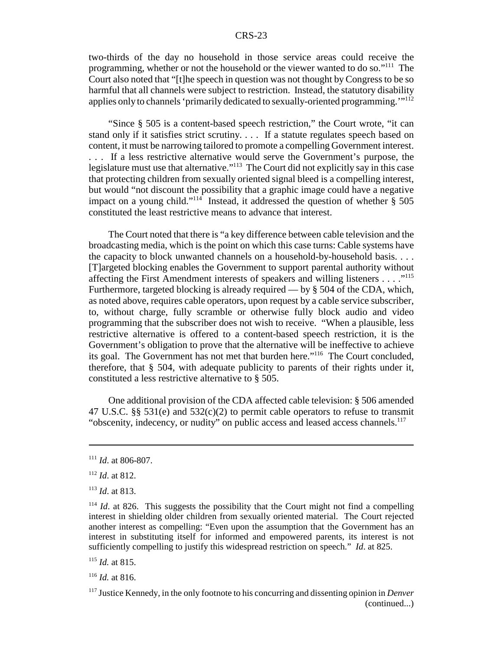two-thirds of the day no household in those service areas could receive the programming, whether or not the household or the viewer wanted to do so."111 The Court also noted that "[t]he speech in question was not thought by Congress to be so harmful that all channels were subject to restriction. Instead, the statutory disability applies only to channels 'primarily dedicated to sexually-oriented programming.'"<sup>112</sup>

"Since § 505 is a content-based speech restriction," the Court wrote, "it can stand only if it satisfies strict scrutiny. . . . If a statute regulates speech based on content, it must be narrowing tailored to promote a compelling Government interest. . . . If a less restrictive alternative would serve the Government's purpose, the legislature must use that alternative."<sup>113</sup> The Court did not explicitly say in this case that protecting children from sexually oriented signal bleed is a compelling interest, but would "not discount the possibility that a graphic image could have a negative impact on a young child."<sup>114</sup> Instead, it addressed the question of whether  $\S$  505 constituted the least restrictive means to advance that interest.

The Court noted that there is "a key difference between cable television and the broadcasting media, which is the point on which this case turns: Cable systems have the capacity to block unwanted channels on a household-by-household basis. . . . [T]argeted blocking enables the Government to support parental authority without affecting the First Amendment interests of speakers and willing listeners  $\dots$ ."<sup>115</sup> Furthermore, targeted blocking is already required — by § 504 of the CDA, which, as noted above, requires cable operators, upon request by a cable service subscriber, to, without charge, fully scramble or otherwise fully block audio and video programming that the subscriber does not wish to receive. "When a plausible, less restrictive alternative is offered to a content-based speech restriction, it is the Government's obligation to prove that the alternative will be ineffective to achieve its goal. The Government has not met that burden here."116 The Court concluded, therefore, that § 504, with adequate publicity to parents of their rights under it, constituted a less restrictive alternative to § 505.

One additional provision of the CDA affected cable television: § 506 amended 47 U.S.C. §§ 531(e) and 532(c)(2) to permit cable operators to refuse to transmit "obscenity, indecency, or nudity" on public access and leased access channels.<sup>117</sup>

<sup>111</sup> *Id*. at 806-807.

<sup>112</sup> *Id*. at 812.

<sup>113</sup> *Id*. at 813.

 $114$  *Id.* at 826. This suggests the possibility that the Court might not find a compelling interest in shielding older children from sexually oriented material. The Court rejected another interest as compelling: "Even upon the assumption that the Government has an interest in substituting itself for informed and empowered parents, its interest is not sufficiently compelling to justify this widespread restriction on speech." *Id*. at 825.

<sup>115</sup> *Id.* at 815.

<sup>116</sup> *Id.* at 816.

<sup>117</sup> Justice Kennedy, in the only footnote to his concurring and dissenting opinion in *Denver* (continued...)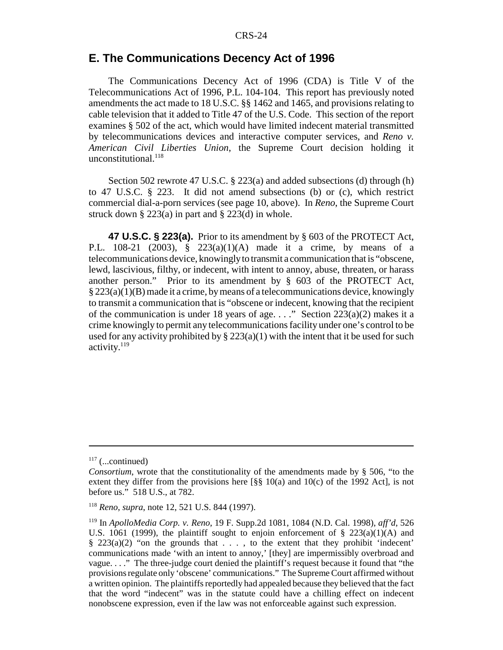## **E. The Communications Decency Act of 1996**

The Communications Decency Act of 1996 (CDA) is Title V of the Telecommunications Act of 1996, P.L. 104-104. This report has previously noted amendments the act made to 18 U.S.C. §§ 1462 and 1465, and provisions relating to cable television that it added to Title 47 of the U.S. Code. This section of the report examines § 502 of the act, which would have limited indecent material transmitted by telecommunications devices and interactive computer services, and *Reno v. American Civil Liberties Union*, the Supreme Court decision holding it unconstitutional. $^{118}$ 

Section 502 rewrote 47 U.S.C. § 223(a) and added subsections (d) through (h) to 47 U.S.C. § 223. It did not amend subsections (b) or (c), which restrict commercial dial-a-porn services (see page 10, above). In *Reno*, the Supreme Court struck down  $\S 223(a)$  in part and  $\S 223(d)$  in whole.

**47 U.S.C. § 223(a).** Prior to its amendment by § 603 of the PROTECT Act, P.L. 108-21 (2003), § 223(a)(1)(A) made it a crime, by means of a telecommunications device, knowingly to transmit a communication that is "obscene, lewd, lascivious, filthy, or indecent, with intent to annoy, abuse, threaten, or harass another person." Prior to its amendment by § 603 of the PROTECT Act,  $\S 223(a)(1)(B)$  made it a crime, by means of a telecommunications device, knowingly to transmit a communication that is "obscene or indecent, knowing that the recipient of the communication is under 18 years of age. . . ." Section 223(a)(2) makes it a crime knowingly to permit any telecommunications facility under one's control to be used for any activity prohibited by  $\S 223(a)(1)$  with the intent that it be used for such activity.<sup>119</sup>

 $117$  (...continued)

*Consortium*, wrote that the constitutionality of the amendments made by § 506, "to the extent they differ from the provisions here  $\lceil \S \S \rceil 10(a)$  and  $\lceil 10(c) \rceil$  of the 1992 Act], is not before us." 518 U.S., at 782.

<sup>118</sup> *Reno*, *supra*, note 12, 521 U.S. 844 (1997).

<sup>119</sup> In *ApolloMedia Corp. v. Reno*, 19 F. Supp.2d 1081, 1084 (N.D. Cal. 1998), *aff'd*, 526 U.S. 1061 (1999), the plaintiff sought to enjoin enforcement of  $\S$  223(a)(1)(A) and  $§$  223(a)(2) "on the grounds that  $\ldots$ , to the extent that they prohibit 'indecent' communications made 'with an intent to annoy,' [they] are impermissibly overbroad and vague. . . ." The three-judge court denied the plaintiff's request because it found that "the provisions regulate only 'obscene' communications." The Supreme Court affirmed without a written opinion. The plaintiffs reportedly had appealed because they believed that the fact that the word "indecent" was in the statute could have a chilling effect on indecent nonobscene expression, even if the law was not enforceable against such expression.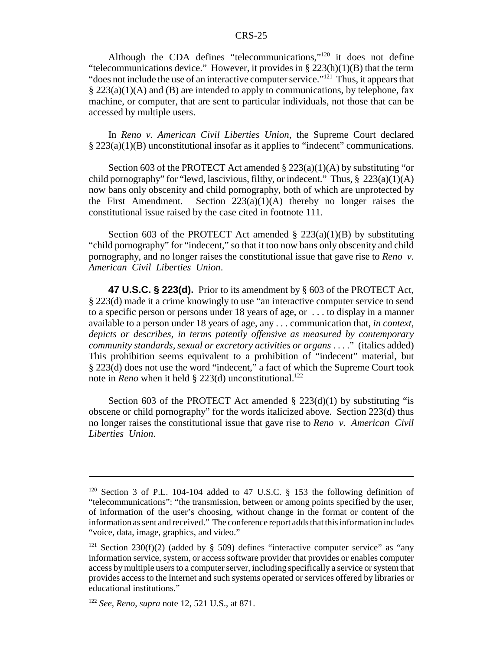Although the CDA defines "telecommunications,"120 it does not define "telecommunications device." However, it provides in  $\S 223(h)(1)(B)$  that the term "does not include the use of an interactive computer service."<sup>121</sup> Thus, it appears that  $\S 223(a)(1)(A)$  and (B) are intended to apply to communications, by telephone, fax machine, or computer, that are sent to particular individuals, not those that can be accessed by multiple users.

In *Reno v. American Civil Liberties Union*, the Supreme Court declared  $\S 223(a)(1)(B)$  unconstitutional insofar as it applies to "indecent" communications.

Section 603 of the PROTECT Act amended  $\S 223(a)(1)(A)$  by substituting "or child pornography" for "lewd, lascivious, filthy, or indecent." Thus,  $\S$  223(a)(1)(A) now bans only obscenity and child pornography, both of which are unprotected by the First Amendment. Section  $223(a)(1)(A)$  thereby no longer raises the constitutional issue raised by the case cited in footnote 111.

Section 603 of the PROTECT Act amended  $\S$  223(a)(1)(B) by substituting "child pornography" for "indecent," so that it too now bans only obscenity and child pornography, and no longer raises the constitutional issue that gave rise to *Reno v. American Civil Liberties Union*.

**47 U.S.C. § 223(d).** Prior to its amendment by § 603 of the PROTECT Act, § 223(d) made it a crime knowingly to use "an interactive computer service to send to a specific person or persons under 18 years of age, or . . . to display in a manner available to a person under 18 years of age, any . . . communication that, *in context, depicts or describes, in terms patently offensive as measured by contemporary community standards, sexual or excretory activities or organs* . . . ." (italics added) This prohibition seems equivalent to a prohibition of "indecent" material, but § 223(d) does not use the word "indecent," a fact of which the Supreme Court took note in *Reno* when it held § 223(d) unconstitutional.<sup>122</sup>

Section 603 of the PROTECT Act amended  $\S 223(d)(1)$  by substituting "is obscene or child pornography" for the words italicized above. Section 223(d) thus no longer raises the constitutional issue that gave rise to *Reno v. American Civil Liberties Union*.

<sup>120</sup> Section 3 of P.L. 104-104 added to 47 U.S.C. § 153 the following definition of "telecommunications": "the transmission, between or among points specified by the user, of information of the user's choosing, without change in the format or content of the information as sent and received." The conference report adds that this information includes "voice, data, image, graphics, and video."

 $121$  Section 230(f)(2) (added by § 509) defines "interactive computer service" as "any information service, system, or access software provider that provides or enables computer access by multiple users to a computer server, including specifically a service or system that provides access to the Internet and such systems operated or services offered by libraries or educational institutions."

<sup>122</sup> *See*, *Reno*, *supra* note 12, 521 U.S., at 871.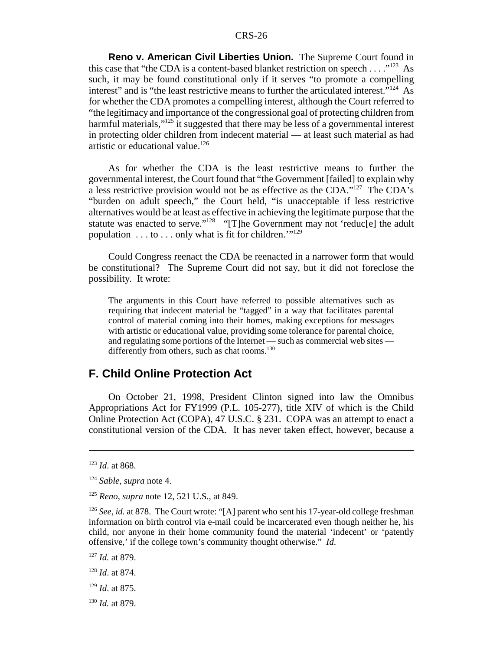**Reno v. American Civil Liberties Union.** The Supreme Court found in this case that "the CDA is a content-based blanket restriction on speech  $\dots$ ."<sup>123</sup> As such, it may be found constitutional only if it serves "to promote a compelling interest" and is "the least restrictive means to further the articulated interest."<sup>124</sup> As for whether the CDA promotes a compelling interest, although the Court referred to "the legitimacy and importance of the congressional goal of protecting children from harmful materials,"<sup>125</sup> it suggested that there may be less of a governmental interest in protecting older children from indecent material — at least such material as had artistic or educational value.<sup>126</sup>

As for whether the CDA is the least restrictive means to further the governmental interest, the Court found that "the Government [failed] to explain why a less restrictive provision would not be as effective as the CDA."127 The CDA's "burden on adult speech," the Court held, "is unacceptable if less restrictive alternatives would be at least as effective in achieving the legitimate purpose that the statute was enacted to serve."<sup>128</sup> "[T]he Government may not 'reduc<sup>[e]</sup> the adult population  $\dots$  to  $\dots$  only what is fit for children."<sup>129</sup>

Could Congress reenact the CDA be reenacted in a narrower form that would be constitutional? The Supreme Court did not say, but it did not foreclose the possibility. It wrote:

The arguments in this Court have referred to possible alternatives such as requiring that indecent material be "tagged" in a way that facilitates parental control of material coming into their homes, making exceptions for messages with artistic or educational value, providing some tolerance for parental choice, and regulating some portions of the Internet — such as commercial web sites differently from others, such as chat rooms.<sup>130</sup>

## **F. Child Online Protection Act**

On October 21, 1998, President Clinton signed into law the Omnibus Appropriations Act for FY1999 (P.L. 105-277), title XIV of which is the Child Online Protection Act (COPA), 47 U.S.C. § 231. COPA was an attempt to enact a constitutional version of the CDA. It has never taken effect, however, because a

<sup>127</sup> *Id.* at 879.

- <sup>128</sup> *Id*. at 874.
- <sup>129</sup> *Id*. at 875.
- <sup>130</sup> *Id.* at 879.

<sup>123</sup> *Id*. at 868.

<sup>124</sup> *Sable*, *supra* note 4.

<sup>125</sup> *Reno*, *supra* note 12, 521 U.S., at 849.

<sup>126</sup> *See*, *id.* at 878. The Court wrote: "[A] parent who sent his 17-year-old college freshman information on birth control via e-mail could be incarcerated even though neither he, his child, nor anyone in their home community found the material 'indecent' or 'patently offensive,' if the college town's community thought otherwise." *Id*.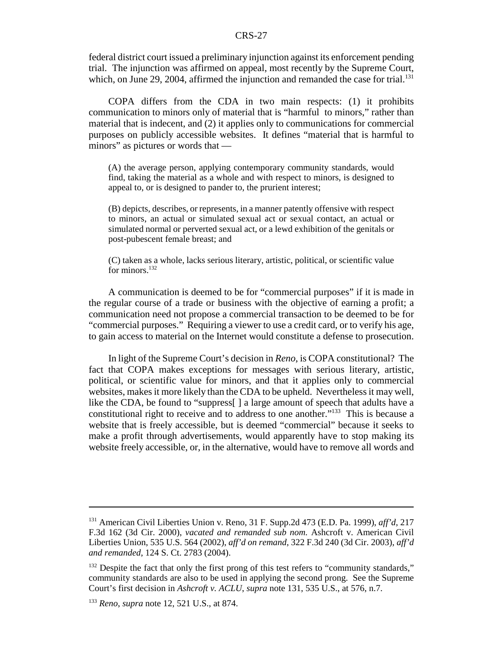federal district court issued a preliminary injunction against its enforcement pending trial. The injunction was affirmed on appeal, most recently by the Supreme Court, which, on June 29, 2004, affirmed the injunction and remanded the case for trial.<sup>131</sup>

COPA differs from the CDA in two main respects: (1) it prohibits communication to minors only of material that is "harmful to minors," rather than material that is indecent, and (2) it applies only to communications for commercial purposes on publicly accessible websites. It defines "material that is harmful to minors" as pictures or words that —

(A) the average person, applying contemporary community standards, would find, taking the material as a whole and with respect to minors, is designed to appeal to, or is designed to pander to, the prurient interest;

(B) depicts, describes, or represents, in a manner patently offensive with respect to minors, an actual or simulated sexual act or sexual contact, an actual or simulated normal or perverted sexual act, or a lewd exhibition of the genitals or post-pubescent female breast; and

(C) taken as a whole, lacks serious literary, artistic, political, or scientific value for minors. $132$ 

A communication is deemed to be for "commercial purposes" if it is made in the regular course of a trade or business with the objective of earning a profit; a communication need not propose a commercial transaction to be deemed to be for "commercial purposes." Requiring a viewer to use a credit card, or to verify his age, to gain access to material on the Internet would constitute a defense to prosecution.

In light of the Supreme Court's decision in *Reno*, is COPA constitutional? The fact that COPA makes exceptions for messages with serious literary, artistic, political, or scientific value for minors, and that it applies only to commercial websites, makes it more likely than the CDA to be upheld. Nevertheless it may well, like the CDA, be found to "suppress[ ] a large amount of speech that adults have a constitutional right to receive and to address to one another."133 This is because a website that is freely accessible, but is deemed "commercial" because it seeks to make a profit through advertisements, would apparently have to stop making its website freely accessible, or, in the alternative, would have to remove all words and

<sup>131</sup> American Civil Liberties Union v. Reno, 31 F. Supp.2d 473 (E.D. Pa. 1999), *aff'd*, 217 F.3d 162 (3d Cir. 2000), *vacated and remanded sub nom.* Ashcroft v. American Civil Liberties Union, 535 U.S. 564 (2002), *aff'd on remand*, 322 F.3d 240 (3d Cir. 2003), *aff'd and remanded*, 124 S. Ct. 2783 (2004).

<sup>&</sup>lt;sup>132</sup> Despite the fact that only the first prong of this test refers to "community standards," community standards are also to be used in applying the second prong. See the Supreme Court's first decision in *Ashcroft v. ACLU*, *supra* note 131, 535 U.S., at 576, n.7.

<sup>133</sup> *Reno*, *supra* note 12, 521 U.S., at 874.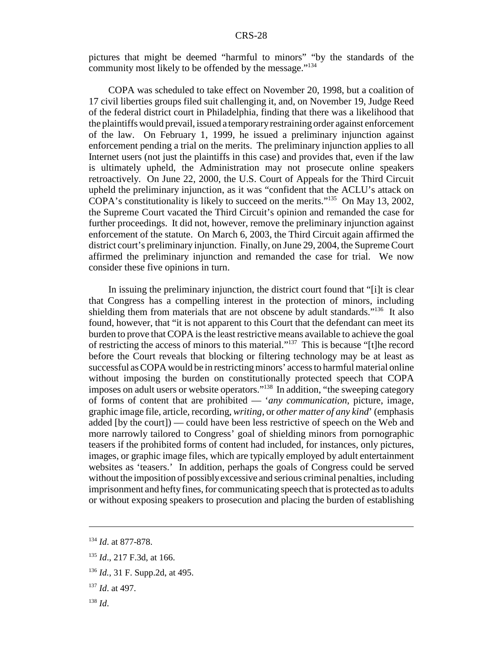pictures that might be deemed "harmful to minors" "by the standards of the community most likely to be offended by the message."134

COPA was scheduled to take effect on November 20, 1998, but a coalition of 17 civil liberties groups filed suit challenging it, and, on November 19, Judge Reed of the federal district court in Philadelphia, finding that there was a likelihood that the plaintiffs would prevail, issued a temporary restraining order against enforcement of the law. On February 1, 1999, he issued a preliminary injunction against enforcement pending a trial on the merits. The preliminary injunction applies to all Internet users (not just the plaintiffs in this case) and provides that, even if the law is ultimately upheld, the Administration may not prosecute online speakers retroactively. On June 22, 2000, the U.S. Court of Appeals for the Third Circuit upheld the preliminary injunction, as it was "confident that the ACLU's attack on COPA's constitutionality is likely to succeed on the merits."135 On May 13, 2002, the Supreme Court vacated the Third Circuit's opinion and remanded the case for further proceedings. It did not, however, remove the preliminary injunction against enforcement of the statute. On March 6, 2003, the Third Circuit again affirmed the district court's preliminary injunction. Finally, on June 29, 2004, the Supreme Court affirmed the preliminary injunction and remanded the case for trial. We now consider these five opinions in turn.

In issuing the preliminary injunction, the district court found that "[i]t is clear that Congress has a compelling interest in the protection of minors, including shielding them from materials that are not obscene by adult standards."<sup>136</sup> It also found, however, that "it is not apparent to this Court that the defendant can meet its burden to prove that COPA is the least restrictive means available to achieve the goal of restricting the access of minors to this material."137 This is because "[t]he record before the Court reveals that blocking or filtering technology may be at least as successful as COPA would be in restricting minors' access to harmful material online without imposing the burden on constitutionally protected speech that COPA imposes on adult users or website operators."138 In addition, "the sweeping category of forms of content that are prohibited — '*any communication*, picture, image, graphic image file, article, recording, *writing*, or *other matter of any kind*' (emphasis added [by the court]) — could have been less restrictive of speech on the Web and more narrowly tailored to Congress' goal of shielding minors from pornographic teasers if the prohibited forms of content had included, for instances, only pictures, images, or graphic image files, which are typically employed by adult entertainment websites as 'teasers.' In addition, perhaps the goals of Congress could be served without the imposition of possibly excessive and serious criminal penalties, including imprisonment and hefty fines, for communicating speech that is protected as to adults or without exposing speakers to prosecution and placing the burden of establishing

<sup>138</sup> *Id*.

<sup>134</sup> *Id*. at 877-878.

<sup>135</sup> *Id*., 217 F.3d, at 166.

<sup>136</sup> *Id.*, 31 F. Supp.2d, at 495.

<sup>137</sup> *Id*. at 497.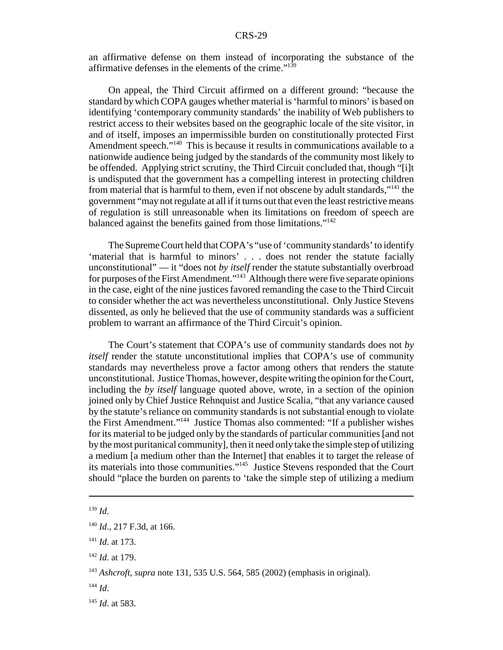an affirmative defense on them instead of incorporating the substance of the affirmative defenses in the elements of the crime." $139$ 

On appeal, the Third Circuit affirmed on a different ground: "because the standard by which COPA gauges whether material is 'harmful to minors' is based on identifying 'contemporary community standards' the inability of Web publishers to restrict access to their websites based on the geographic locale of the site visitor, in and of itself, imposes an impermissible burden on constitutionally protected First Amendment speech."<sup>140</sup> This is because it results in communications available to a nationwide audience being judged by the standards of the community most likely to be offended. Applying strict scrutiny, the Third Circuit concluded that, though "[i]t is undisputed that the government has a compelling interest in protecting children from material that is harmful to them, even if not obscene by adult standards,"141 the government "may not regulate at all if it turns out that even the least restrictive means of regulation is still unreasonable when its limitations on freedom of speech are balanced against the benefits gained from those limitations."142

The Supreme Court held that COPA's "use of 'community standards' to identify 'material that is harmful to minors' . . . does not render the statute facially unconstitutional" — it "does not *by itself* render the statute substantially overbroad for purposes of the First Amendment."<sup>143</sup> Although there were five separate opinions in the case, eight of the nine justices favored remanding the case to the Third Circuit to consider whether the act was nevertheless unconstitutional. Only Justice Stevens dissented, as only he believed that the use of community standards was a sufficient problem to warrant an affirmance of the Third Circuit's opinion.

The Court's statement that COPA's use of community standards does not *by itself* render the statute unconstitutional implies that COPA's use of community standards may nevertheless prove a factor among others that renders the statute unconstitutional. Justice Thomas, however, despite writing the opinion for the Court, including the *by itself* language quoted above, wrote, in a section of the opinion joined only by Chief Justice Rehnquist and Justice Scalia, "that any variance caused by the statute's reliance on community standards is not substantial enough to violate the First Amendment."144 Justice Thomas also commented: "If a publisher wishes for its material to be judged only by the standards of particular communities [and not by the most puritanical community], then it need only take the simple step of utilizing a medium [a medium other than the Internet] that enables it to target the release of its materials into those communities."145 Justice Stevens responded that the Court should "place the burden on parents to 'take the simple step of utilizing a medium

<sup>144</sup> *Id*.

<sup>139</sup> *Id*.

<sup>140</sup> *Id*., 217 F.3d, at 166.

<sup>141</sup> *Id*. at 173.

<sup>142</sup> *Id*. at 179.

<sup>143</sup> *Ashcroft*, *supra* note 131, 535 U.S. 564, 585 (2002) (emphasis in original).

<sup>145</sup> *Id*. at 583.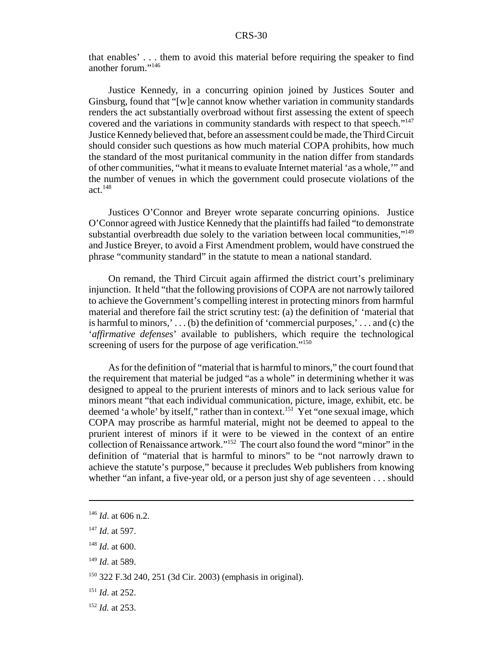that enables' . . . them to avoid this material before requiring the speaker to find another forum."146

Justice Kennedy, in a concurring opinion joined by Justices Souter and Ginsburg, found that "[w]e cannot know whether variation in community standards renders the act substantially overbroad without first assessing the extent of speech covered and the variations in community standards with respect to that speech."<sup>147</sup> Justice Kennedy believed that, before an assessment could be made, the Third Circuit should consider such questions as how much material COPA prohibits, how much the standard of the most puritanical community in the nation differ from standards of other communities, "what it means to evaluate Internet material 'as a whole,'" and the number of venues in which the government could prosecute violations of the  $act.<sup>148</sup>$ 

Justices O'Connor and Breyer wrote separate concurring opinions. Justice O'Connor agreed with Justice Kennedy that the plaintiffs had failed "to demonstrate substantial overbreadth due solely to the variation between local communities,"<sup>149</sup> and Justice Breyer, to avoid a First Amendment problem, would have construed the phrase "community standard" in the statute to mean a national standard.

On remand, the Third Circuit again affirmed the district court's preliminary injunction. It held "that the following provisions of COPA are not narrowly tailored to achieve the Government's compelling interest in protecting minors from harmful material and therefore fail the strict scrutiny test: (a) the definition of 'material that is harmful to minors,'... $(b)$  the definition of 'commercial purposes,'... and (c) the '*affirmative defenses*' available to publishers, which require the technological screening of users for the purpose of age verification."<sup>150</sup>

As for the definition of "material that is harmful to minors," the court found that the requirement that material be judged "as a whole" in determining whether it was designed to appeal to the prurient interests of minors and to lack serious value for minors meant "that each individual communication, picture, image, exhibit, etc. be deemed 'a whole' by itself," rather than in context.<sup>151</sup> Yet "one sexual image, which COPA may proscribe as harmful material, might not be deemed to appeal to the prurient interest of minors if it were to be viewed in the context of an entire collection of Renaissance artwork."152 The court also found the word "minor" in the definition of "material that is harmful to minors" to be "not narrowly drawn to achieve the statute's purpose," because it precludes Web publishers from knowing whether "an infant, a five-year old, or a person just shy of age seventeen . . . should

<sup>146</sup> *Id*. at 606 n.2.

<sup>147</sup> *Id*. at 597.

<sup>148</sup> *Id*. at 600.

<sup>149</sup> *Id*. at 589.

<sup>150 322</sup> F.3d 240, 251 (3d Cir. 2003) (emphasis in original).

<sup>151</sup> *Id*. at 252.

<sup>152</sup> *Id.* at 253.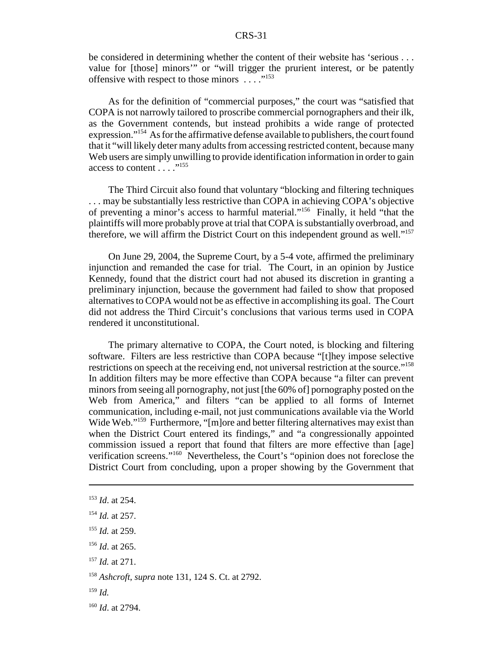be considered in determining whether the content of their website has 'serious . . . value for [those] minors'" or "will trigger the prurient interest, or be patently offensive with respect to those minors  $\ldots$ ."<sup>153</sup>

As for the definition of "commercial purposes," the court was "satisfied that COPA is not narrowly tailored to proscribe commercial pornographers and their ilk, as the Government contends, but instead prohibits a wide range of protected expression."<sup>154</sup> As for the affirmative defense available to publishers, the court found that it "will likely deter many adults from accessing restricted content, because many Web users are simply unwilling to provide identification information in order to gain access to content  $\ldots$  ...<sup>155</sup>

The Third Circuit also found that voluntary "blocking and filtering techniques . . . may be substantially less restrictive than COPA in achieving COPA's objective of preventing a minor's access to harmful material."156 Finally, it held "that the plaintiffs will more probably prove at trial that COPA is substantially overbroad, and therefore, we will affirm the District Court on this independent ground as well."157

On June 29, 2004, the Supreme Court, by a 5-4 vote, affirmed the preliminary injunction and remanded the case for trial. The Court, in an opinion by Justice Kennedy, found that the district court had not abused its discretion in granting a preliminary injunction, because the government had failed to show that proposed alternatives to COPA would not be as effective in accomplishing its goal. The Court did not address the Third Circuit's conclusions that various terms used in COPA rendered it unconstitutional.

The primary alternative to COPA, the Court noted, is blocking and filtering software. Filters are less restrictive than COPA because "[t]hey impose selective restrictions on speech at the receiving end, not universal restriction at the source."158 In addition filters may be more effective than COPA because "a filter can prevent minors from seeing all pornography, not just [the 60% of] pornography posted on the Web from America," and filters "can be applied to all forms of Internet communication, including e-mail, not just communications available via the World Wide Web."<sup>159</sup> Furthermore, "[m]ore and better filtering alternatives may exist than when the District Court entered its findings," and "a congressionally appointed commission issued a report that found that filters are more effective than [age] verification screens."160 Nevertheless, the Court's "opinion does not foreclose the District Court from concluding, upon a proper showing by the Government that

<sup>159</sup> *Id.*

<sup>153</sup> *Id*. at 254.

<sup>154</sup> *Id.* at 257.

<sup>155</sup> *Id.* at 259.

<sup>156</sup> *Id*. at 265.

<sup>157</sup> *Id.* at 271.

<sup>158</sup> *Ashcroft*, *supra* note 131, 124 S. Ct. at 2792.

<sup>160</sup> *Id*. at 2794.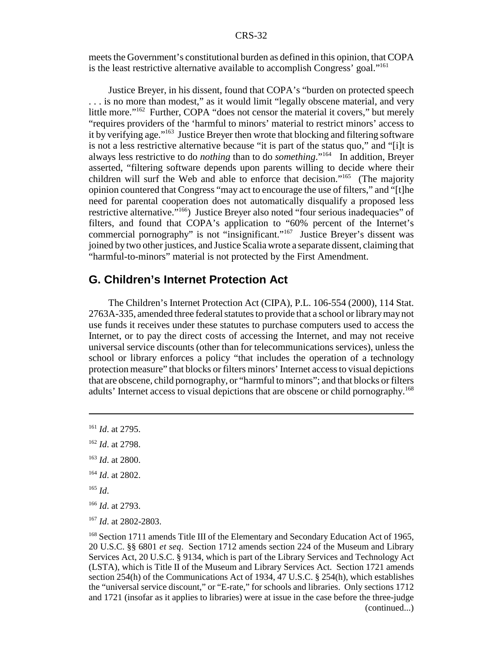meets the Government's constitutional burden as defined in this opinion, that COPA is the least restrictive alternative available to accomplish Congress' goal."161

Justice Breyer, in his dissent, found that COPA's "burden on protected speech . . . is no more than modest," as it would limit "legally obscene material, and very little more."162 Further, COPA "does not censor the material it covers," but merely "requires providers of the 'harmful to minors' material to restrict minors' access to it by verifying age."163 Justice Breyer then wrote that blocking and filtering software is not a less restrictive alternative because "it is part of the status quo," and "[i]t is always less restrictive to do *nothing* than to do *something*."164 In addition, Breyer asserted, "filtering software depends upon parents willing to decide where their children will surf the Web and able to enforce that decision."165 (The majority opinion countered that Congress "may act to encourage the use of filters," and "[t]he need for parental cooperation does not automatically disqualify a proposed less restrictive alternative."166) Justice Breyer also noted "four serious inadequacies" of filters, and found that COPA's application to "60% percent of the Internet's commercial pornography" is not "insignificant."167 Justice Breyer's dissent was joined by two other justices, and Justice Scalia wrote a separate dissent, claiming that "harmful-to-minors" material is not protected by the First Amendment.

## **G. Children's Internet Protection Act**

The Children's Internet Protection Act (CIPA), P.L. 106-554 (2000), 114 Stat. 2763A-335, amended three federal statutes to provide that a school or library may not use funds it receives under these statutes to purchase computers used to access the Internet, or to pay the direct costs of accessing the Internet, and may not receive universal service discounts (other than for telecommunications services), unless the school or library enforces a policy "that includes the operation of a technology protection measure" that blocks or filters minors' Internet access to visual depictions that are obscene, child pornography, or "harmful to minors"; and that blocks or filters adults' Internet access to visual depictions that are obscene or child pornography.<sup>168</sup>

<sup>161</sup> *Id*. at 2795.

<sup>162</sup> *Id*. at 2798.

<sup>163</sup> *Id*. at 2800.

<sup>164</sup> *Id*. at 2802.

<sup>165</sup> *Id*.

<sup>166</sup> *Id*. at 2793.

<sup>167</sup> *Id*. at 2802-2803.

<sup>&</sup>lt;sup>168</sup> Section 1711 amends Title III of the Elementary and Secondary Education Act of 1965, 20 U.S.C. §§ 6801 *et seq*. Section 1712 amends section 224 of the Museum and Library Services Act, 20 U.S.C. § 9134, which is part of the Library Services and Technology Act (LSTA), which is Title II of the Museum and Library Services Act. Section 1721 amends section 254(h) of the Communications Act of 1934, 47 U.S.C. § 254(h), which establishes the "universal service discount," or "E-rate," for schools and libraries. Only sections 1712 and 1721 (insofar as it applies to libraries) were at issue in the case before the three-judge (continued...)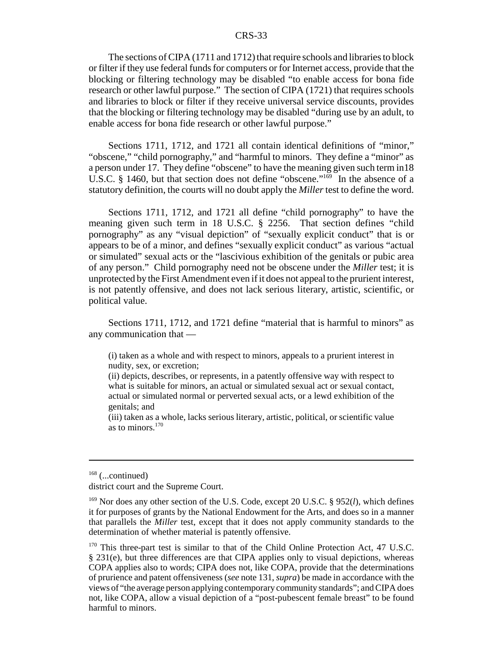The sections of CIPA (1711 and 1712) that require schools and libraries to block or filter if they use federal funds for computers or for Internet access, provide that the blocking or filtering technology may be disabled "to enable access for bona fide research or other lawful purpose." The section of CIPA (1721) that requires schools and libraries to block or filter if they receive universal service discounts, provides that the blocking or filtering technology may be disabled "during use by an adult, to enable access for bona fide research or other lawful purpose."

Sections 1711, 1712, and 1721 all contain identical definitions of "minor," "obscene," "child pornography," and "harmful to minors. They define a "minor" as a person under 17. They define "obscene" to have the meaning given such term in18 U.S.C. § 1460, but that section does not define "obscene." $169$  In the absence of a statutory definition, the courts will no doubt apply the *Miller* test to define the word.

Sections 1711, 1712, and 1721 all define "child pornography" to have the meaning given such term in 18 U.S.C. § 2256. That section defines "child pornography" as any "visual depiction" of "sexually explicit conduct" that is or appears to be of a minor, and defines "sexually explicit conduct" as various "actual or simulated" sexual acts or the "lascivious exhibition of the genitals or pubic area of any person." Child pornography need not be obscene under the *Miller* test; it is unprotected by the First Amendment even if it does not appeal to the prurient interest, is not patently offensive, and does not lack serious literary, artistic, scientific, or political value.

Sections 1711, 1712, and 1721 define "material that is harmful to minors" as any communication that —

(i) taken as a whole and with respect to minors, appeals to a prurient interest in nudity, sex, or excretion;

(ii) depicts, describes, or represents, in a patently offensive way with respect to what is suitable for minors, an actual or simulated sexual act or sexual contact, actual or simulated normal or perverted sexual acts, or a lewd exhibition of the genitals; and

(iii) taken as a whole, lacks serious literary, artistic, political, or scientific value as to minors.170

 $168$  (...continued)

district court and the Supreme Court.

<sup>169</sup> Nor does any other section of the U.S. Code, except 20 U.S.C. § 952(*l*), which defines it for purposes of grants by the National Endowment for the Arts, and does so in a manner that parallels the *Miller* test, except that it does not apply community standards to the determination of whether material is patently offensive.

<sup>&</sup>lt;sup>170</sup> This three-part test is similar to that of the Child Online Protection Act, 47 U.S.C. § 231(e), but three differences are that CIPA applies only to visual depictions, whereas COPA applies also to words; CIPA does not, like COPA, provide that the determinations of prurience and patent offensiveness (*see* note 131, *supra*) be made in accordance with the views of "the average person applying contemporary community standards"; and CIPA does not, like COPA, allow a visual depiction of a "post-pubescent female breast" to be found harmful to minors.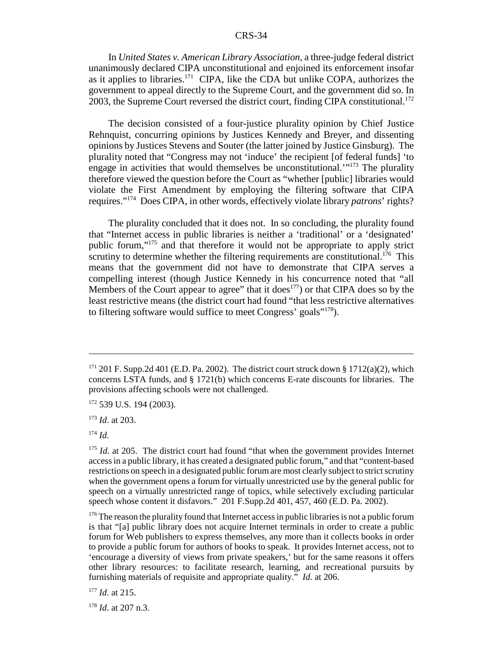In *United States v. American Library Association*, a three-judge federal district unanimously declared CIPA unconstitutional and enjoined its enforcement insofar as it applies to libraries.<sup>171</sup> CIPA, like the CDA but unlike COPA, authorizes the government to appeal directly to the Supreme Court, and the government did so. In 2003, the Supreme Court reversed the district court, finding CIPA constitutional.<sup>172</sup>

The decision consisted of a four-justice plurality opinion by Chief Justice Rehnquist, concurring opinions by Justices Kennedy and Breyer, and dissenting opinions by Justices Stevens and Souter (the latter joined by Justice Ginsburg). The plurality noted that "Congress may not 'induce' the recipient [of federal funds] 'to engage in activities that would themselves be unconstitutional.<sup> $1173$ </sup> The plurality therefore viewed the question before the Court as "whether [public] libraries would violate the First Amendment by employing the filtering software that CIPA requires."174 Does CIPA, in other words, effectively violate library *patrons*' rights?

The plurality concluded that it does not. In so concluding, the plurality found that "Internet access in public libraries is neither a 'traditional' or a 'designated' public forum,"175 and that therefore it would not be appropriate to apply strict scrutiny to determine whether the filtering requirements are constitutional.<sup>176</sup> This means that the government did not have to demonstrate that CIPA serves a compelling interest (though Justice Kennedy in his concurrence noted that "all Members of the Court appear to agree" that it does<sup>177</sup>) or that CIPA does so by the least restrictive means (the district court had found "that less restrictive alternatives to filtering software would suffice to meet Congress' goals"178).

 $171$  201 F. Supp.2d 401 (E.D. Pa. 2002). The district court struck down § 1712(a)(2), which concerns LSTA funds, and § 1721(b) which concerns E-rate discounts for libraries. The provisions affecting schools were not challenged.

<sup>&</sup>lt;sup>172</sup> 539 U.S. 194 (2003).

<sup>173</sup> *Id*. at 203.

<sup>174</sup> *Id.*

<sup>&</sup>lt;sup>175</sup> *Id.* at 205. The district court had found "that when the government provides Internet access in a public library, it has created a designated public forum," and that "content-based restrictions on speech in a designated public forum are most clearly subject to strict scrutiny when the government opens a forum for virtually unrestricted use by the general public for speech on a virtually unrestricted range of topics, while selectively excluding particular speech whose content it disfavors." 201 F.Supp.2d 401, 457, 460 (E.D. Pa. 2002).

<sup>&</sup>lt;sup>176</sup> The reason the plurality found that Internet access in public libraries is not a public forum is that "[a] public library does not acquire Internet terminals in order to create a public forum for Web publishers to express themselves, any more than it collects books in order to provide a public forum for authors of books to speak. It provides Internet access, not to 'encourage a diversity of views from private speakers,' but for the same reasons it offers other library resources: to facilitate research, learning, and recreational pursuits by furnishing materials of requisite and appropriate quality." *Id.* at 206.

<sup>177</sup> *Id*. at 215.

<sup>178</sup> *Id*. at 207 n.3.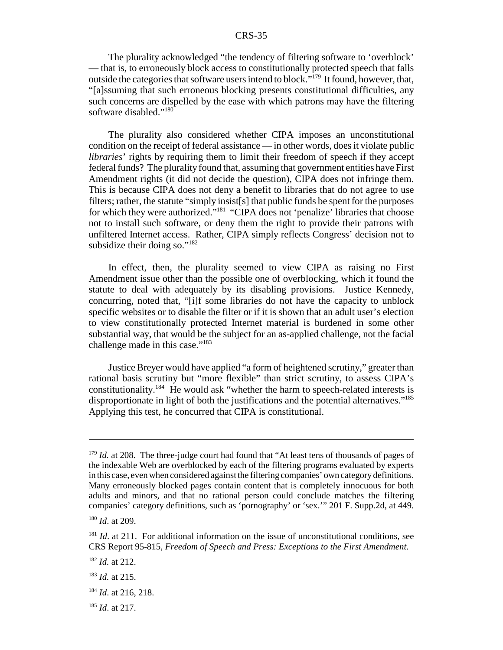The plurality acknowledged "the tendency of filtering software to 'overblock' — that is, to erroneously block access to constitutionally protected speech that falls outside the categories that software users intend to block." $179$  It found, however, that, "[a]ssuming that such erroneous blocking presents constitutional difficulties, any such concerns are dispelled by the ease with which patrons may have the filtering software disabled."<sup>180</sup>

The plurality also considered whether CIPA imposes an unconstitutional condition on the receipt of federal assistance — in other words, does it violate public *libraries*' rights by requiring them to limit their freedom of speech if they accept federal funds? The plurality found that, assuming that government entities have First Amendment rights (it did not decide the question), CIPA does not infringe them. This is because CIPA does not deny a benefit to libraries that do not agree to use filters; rather, the statute "simply insist[s] that public funds be spent for the purposes for which they were authorized."181 "CIPA does not 'penalize' libraries that choose not to install such software, or deny them the right to provide their patrons with unfiltered Internet access. Rather, CIPA simply reflects Congress' decision not to subsidize their doing so."<sup>182</sup>

In effect, then, the plurality seemed to view CIPA as raising no First Amendment issue other than the possible one of overblocking, which it found the statute to deal with adequately by its disabling provisions. Justice Kennedy, concurring, noted that, "[i]f some libraries do not have the capacity to unblock specific websites or to disable the filter or if it is shown that an adult user's election to view constitutionally protected Internet material is burdened in some other substantial way, that would be the subject for an as-applied challenge, not the facial challenge made in this case."<sup>183</sup>

Justice Breyer would have applied "a form of heightened scrutiny," greater than rational basis scrutiny but "more flexible" than strict scrutiny, to assess CIPA's constitutionality.184 He would ask "whether the harm to speech-related interests is disproportionate in light of both the justifications and the potential alternatives."<sup>185</sup> Applying this test, he concurred that CIPA is constitutional.

<sup>&</sup>lt;sup>179</sup> *Id.* at 208. The three-judge court had found that "At least tens of thousands of pages of the indexable Web are overblocked by each of the filtering programs evaluated by experts in this case, even when considered against the filtering companies' own category definitions. Many erroneously blocked pages contain content that is completely innocuous for both adults and minors, and that no rational person could conclude matches the filtering companies' category definitions, such as 'pornography' or 'sex.'" 201 F. Supp.2d, at 449.

<sup>180</sup> *Id*. at 209.

<sup>&</sup>lt;sup>181</sup> *Id.* at 211. For additional information on the issue of unconstitutional conditions, see CRS Report 95-815, *Freedom of Speech and Press: Exceptions to the First Amendment*.

<sup>182</sup> *Id.* at 212.

<sup>183</sup> *Id.* at 215.

<sup>184</sup> *Id*. at 216, 218.

<sup>185</sup> *Id*. at 217.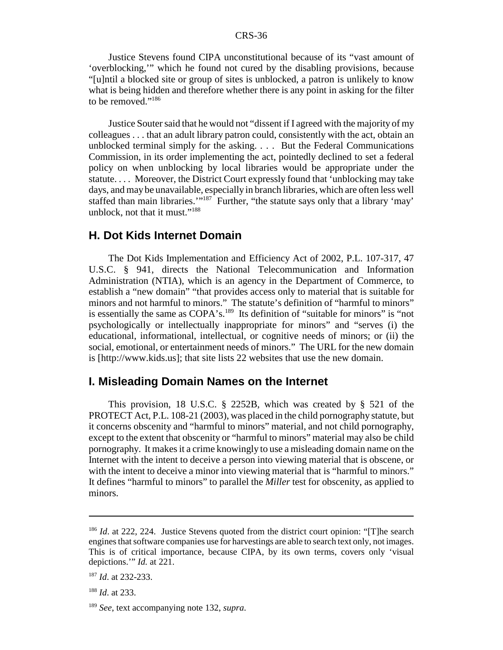Justice Stevens found CIPA unconstitutional because of its "vast amount of 'overblocking,'" which he found not cured by the disabling provisions, because "[u]ntil a blocked site or group of sites is unblocked, a patron is unlikely to know what is being hidden and therefore whether there is any point in asking for the filter to be removed."186

Justice Souter said that he would not "dissent if I agreed with the majority of my colleagues . . . that an adult library patron could, consistently with the act, obtain an unblocked terminal simply for the asking. . . . But the Federal Communications Commission, in its order implementing the act, pointedly declined to set a federal policy on when unblocking by local libraries would be appropriate under the statute. . . . Moreover, the District Court expressly found that 'unblocking may take days, and may be unavailable, especially in branch libraries, which are often less well staffed than main libraries."<sup>187</sup> Further, "the statute says only that a library 'may' unblock, not that it must."<sup>188</sup>

## **H. Dot Kids Internet Domain**

The Dot Kids Implementation and Efficiency Act of 2002, P.L. 107-317, 47 U.S.C. § 941, directs the National Telecommunication and Information Administration (NTIA), which is an agency in the Department of Commerce, to establish a "new domain" "that provides access only to material that is suitable for minors and not harmful to minors." The statute's definition of "harmful to minors" is essentially the same as COPA's.<sup>189</sup> Its definition of "suitable for minors" is "not psychologically or intellectually inappropriate for minors" and "serves (i) the educational, informational, intellectual, or cognitive needs of minors; or (ii) the social, emotional, or entertainment needs of minors." The URL for the new domain is [http://www.kids.us]; that site lists 22 websites that use the new domain.

#### **I. Misleading Domain Names on the Internet**

This provision, 18 U.S.C. § 2252B, which was created by § 521 of the PROTECT Act, P.L. 108-21 (2003), was placed in the child pornography statute, but it concerns obscenity and "harmful to minors" material, and not child pornography, except to the extent that obscenity or "harmful to minors" material may also be child pornography. It makes it a crime knowingly to use a misleading domain name on the Internet with the intent to deceive a person into viewing material that is obscene, or with the intent to deceive a minor into viewing material that is "harmful to minors." It defines "harmful to minors" to parallel the *Miller* test for obscenity, as applied to minors.

<sup>&</sup>lt;sup>186</sup> *Id.* at 222, 224. Justice Stevens quoted from the district court opinion: "[T]he search engines that software companies use for harvestings are able to search text only, not images. This is of critical importance, because CIPA, by its own terms, covers only 'visual depictions.'" *Id.* at 221.

<sup>187</sup> *Id*. at 232-233.

<sup>188</sup> *Id*. at 233.

<sup>189</sup> *See*, text accompanying note 132, *supra*.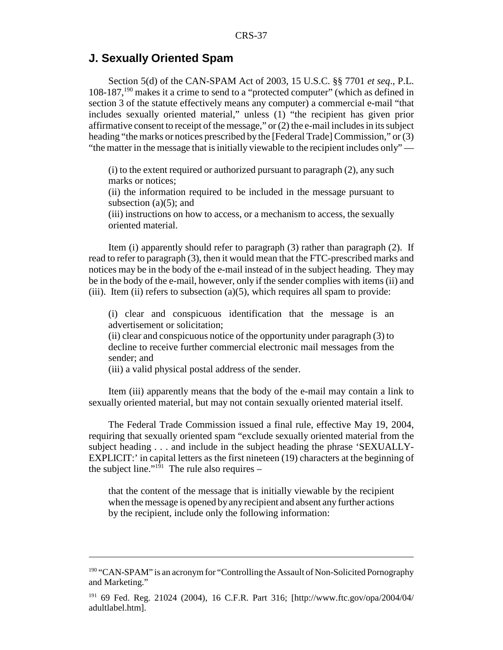## **J. Sexually Oriented Spam**

Section 5(d) of the CAN-SPAM Act of 2003, 15 U.S.C. §§ 7701 *et seq*., P.L. 108-187,190 makes it a crime to send to a "protected computer" (which as defined in section 3 of the statute effectively means any computer) a commercial e-mail "that includes sexually oriented material," unless (1) "the recipient has given prior affirmative consent to receipt of the message," or (2) the e-mail includes in its subject heading "the marks or notices prescribed by the [Federal Trade] Commission," or (3) "the matter in the message that is initially viewable to the recipient includes only" —

(i) to the extent required or authorized pursuant to paragraph (2), any such marks or notices;

(ii) the information required to be included in the message pursuant to subsection  $(a)(5)$ ; and

(iii) instructions on how to access, or a mechanism to access, the sexually oriented material.

Item (i) apparently should refer to paragraph (3) rather than paragraph (2). If read to refer to paragraph (3), then it would mean that the FTC-prescribed marks and notices may be in the body of the e-mail instead of in the subject heading. They may be in the body of the e-mail, however, only if the sender complies with items (ii) and (iii). Item (ii) refers to subsection (a)(5), which requires all spam to provide:

(i) clear and conspicuous identification that the message is an advertisement or solicitation;

(ii) clear and conspicuous notice of the opportunity under paragraph (3) to decline to receive further commercial electronic mail messages from the sender; and

(iii) a valid physical postal address of the sender.

Item (iii) apparently means that the body of the e-mail may contain a link to sexually oriented material, but may not contain sexually oriented material itself.

The Federal Trade Commission issued a final rule, effective May 19, 2004, requiring that sexually oriented spam "exclude sexually oriented material from the subject heading . . . and include in the subject heading the phrase 'SEXUALLY-EXPLICIT:' in capital letters as the first nineteen (19) characters at the beginning of the subject line."<sup>191</sup> The rule also requires –

that the content of the message that is initially viewable by the recipient when the message is opened by any recipient and absent any further actions by the recipient, include only the following information:

<sup>&</sup>lt;sup>190</sup> "CAN-SPAM" is an acronym for "Controlling the Assault of Non-Solicited Pornography and Marketing."

<sup>191 69</sup> Fed. Reg. 21024 (2004), 16 C.F.R. Part 316; [http://www.ftc.gov/opa/2004/04/ adultlabel.htm].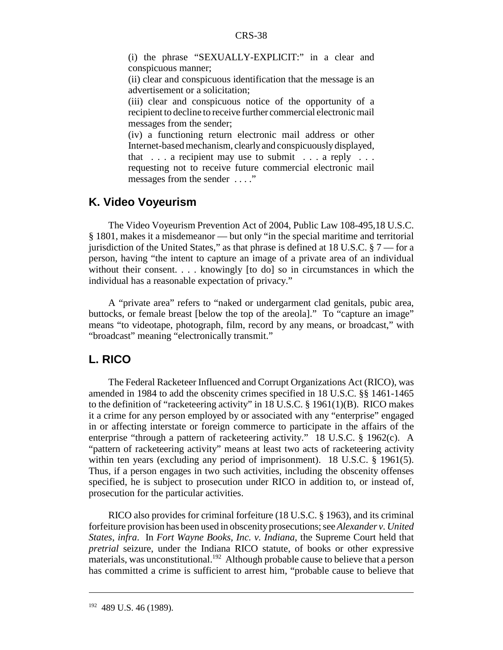(i) the phrase "SEXUALLY-EXPLICIT:" in a clear and conspicuous manner;

(ii) clear and conspicuous identification that the message is an advertisement or a solicitation;

(iii) clear and conspicuous notice of the opportunity of a recipient to decline to receive further commercial electronic mail messages from the sender;

(iv) a functioning return electronic mail address or other Internet-based mechanism, clearly and conspicuously displayed, that  $\dots$  a recipient may use to submit  $\dots$  a reply  $\dots$ requesting not to receive future commercial electronic mail messages from the sender . . . ."

## **K. Video Voyeurism**

The Video Voyeurism Prevention Act of 2004, Public Law 108-495,18 U.S.C. § 1801, makes it a misdemeanor — but only "in the special maritime and territorial jurisdiction of the United States," as that phrase is defined at 18 U.S.C.  $\S 7$  — for a person, having "the intent to capture an image of a private area of an individual without their consent. . . . knowingly [to do] so in circumstances in which the individual has a reasonable expectation of privacy."

A "private area" refers to "naked or undergarment clad genitals, pubic area, buttocks, or female breast [below the top of the areola]." To "capture an image" means "to videotape, photograph, film, record by any means, or broadcast," with "broadcast" meaning "electronically transmit."

## **L. RICO**

The Federal Racketeer Influenced and Corrupt Organizations Act (RICO), was amended in 1984 to add the obscenity crimes specified in 18 U.S.C. §§ 1461-1465 to the definition of "racketeering activity" in 18 U.S.C. § 1961(1)(B). RICO makes it a crime for any person employed by or associated with any "enterprise" engaged in or affecting interstate or foreign commerce to participate in the affairs of the enterprise "through a pattern of racketeering activity." 18 U.S.C. § 1962(c). A "pattern of racketeering activity" means at least two acts of racketeering activity within ten years (excluding any period of imprisonment). 18 U.S.C. § 1961(5). Thus, if a person engages in two such activities, including the obscenity offenses specified, he is subject to prosecution under RICO in addition to, or instead of, prosecution for the particular activities.

RICO also provides for criminal forfeiture (18 U.S.C. § 1963), and its criminal forfeiture provision has been used in obscenity prosecutions; see *Alexander v. United States*, *infra*. In *Fort Wayne Books, Inc. v. Indiana*, the Supreme Court held that *pretrial* seizure, under the Indiana RICO statute, of books or other expressive materials, was unconstitutional.<sup>192</sup> Although probable cause to believe that a person has committed a crime is sufficient to arrest him, "probable cause to believe that

<sup>&</sup>lt;sup>192</sup> 489 U.S. 46 (1989).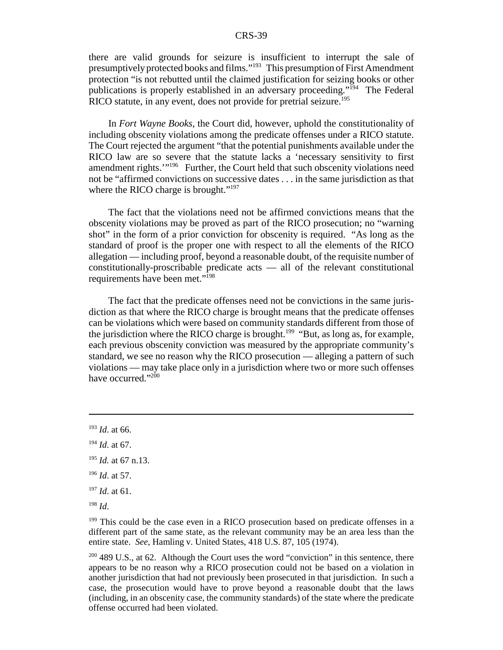there are valid grounds for seizure is insufficient to interrupt the sale of presumptively protected books and films."193 This presumption of First Amendment protection "is not rebutted until the claimed justification for seizing books or other publications is properly established in an adversary proceeding."194 The Federal RICO statute, in any event, does not provide for pretrial seizure.<sup>195</sup>

In *Fort Wayne Books*, the Court did, however, uphold the constitutionality of including obscenity violations among the predicate offenses under a RICO statute. The Court rejected the argument "that the potential punishments available under the RICO law are so severe that the statute lacks a 'necessary sensitivity to first amendment rights.'"196 Further, the Court held that such obscenity violations need not be "affirmed convictions on successive dates . . . in the same jurisdiction as that where the RICO charge is brought."<sup>197</sup>

The fact that the violations need not be affirmed convictions means that the obscenity violations may be proved as part of the RICO prosecution; no "warning shot" in the form of a prior conviction for obscenity is required. "As long as the standard of proof is the proper one with respect to all the elements of the RICO allegation — including proof, beyond a reasonable doubt, of the requisite number of constitutionally-proscribable predicate acts — all of the relevant constitutional requirements have been met."198

The fact that the predicate offenses need not be convictions in the same jurisdiction as that where the RICO charge is brought means that the predicate offenses can be violations which were based on community standards different from those of the jurisdiction where the RICO charge is brought.<sup>199</sup> "But, as long as, for example, each previous obscenity conviction was measured by the appropriate community's standard, we see no reason why the RICO prosecution — alleging a pattern of such violations — may take place only in a jurisdiction where two or more such offenses have occurred."200

- <sup>196</sup> *Id*. at 57.
- <sup>197</sup> *Id*. at 61.
- <sup>198</sup> *Id*.

<sup>199</sup> This could be the case even in a RICO prosecution based on predicate offenses in a different part of the same state, as the relevant community may be an area less than the entire state. *See*, Hamling v. United States, 418 U.S. 87, 105 (1974).

<sup>200</sup> 489 U.S., at 62. Although the Court uses the word "conviction" in this sentence, there appears to be no reason why a RICO prosecution could not be based on a violation in another jurisdiction that had not previously been prosecuted in that jurisdiction. In such a case, the prosecution would have to prove beyond a reasonable doubt that the laws (including, in an obscenity case, the community standards) of the state where the predicate offense occurred had been violated.

<sup>193</sup> *Id*. at 66.

<sup>194</sup> *Id*. at 67.

<sup>195</sup> *Id.* at 67 n.13.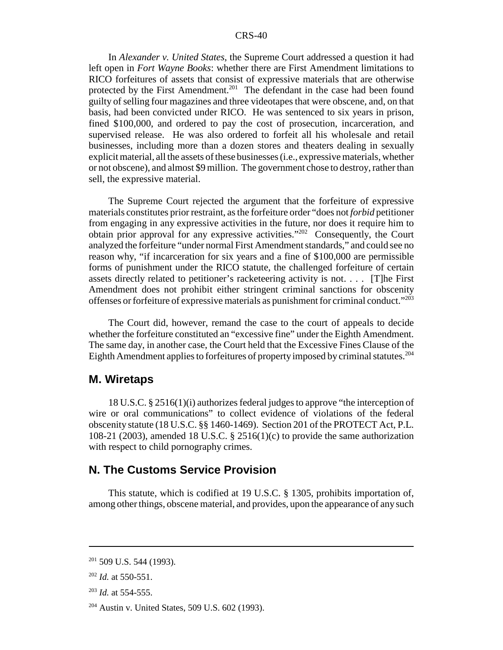In *Alexander v. United States*, the Supreme Court addressed a question it had left open in *Fort Wayne Books*: whether there are First Amendment limitations to RICO forfeitures of assets that consist of expressive materials that are otherwise protected by the First Amendment.<sup>201</sup> The defendant in the case had been found guilty of selling four magazines and three videotapes that were obscene, and, on that basis, had been convicted under RICO. He was sentenced to six years in prison, fined \$100,000, and ordered to pay the cost of prosecution, incarceration, and supervised release. He was also ordered to forfeit all his wholesale and retail businesses, including more than a dozen stores and theaters dealing in sexually explicit material, all the assets of these businesses (i.e., expressive materials, whether or not obscene), and almost \$9 million. The government chose to destroy, rather than sell, the expressive material.

The Supreme Court rejected the argument that the forfeiture of expressive materials constitutes prior restraint, as the forfeiture order "does not *forbid* petitioner from engaging in any expressive activities in the future, nor does it require him to obtain prior approval for any expressive activities."202 Consequently, the Court analyzed the forfeiture "under normal First Amendment standards," and could see no reason why, "if incarceration for six years and a fine of \$100,000 are permissible forms of punishment under the RICO statute, the challenged forfeiture of certain assets directly related to petitioner's racketeering activity is not. . . . [T]he First Amendment does not prohibit either stringent criminal sanctions for obscenity offenses or forfeiture of expressive materials as punishment for criminal conduct."203

The Court did, however, remand the case to the court of appeals to decide whether the forfeiture constituted an "excessive fine" under the Eighth Amendment. The same day, in another case, the Court held that the Excessive Fines Clause of the Eighth Amendment applies to forfeitures of property imposed by criminal statutes.<sup>204</sup>

## **M. Wiretaps**

18 U.S.C. § 2516(1)(i) authorizes federal judges to approve "the interception of wire or oral communications" to collect evidence of violations of the federal obscenity statute (18 U.S.C. §§ 1460-1469). Section 201 of the PROTECT Act, P.L. 108-21 (2003), amended 18 U.S.C. § 2516(1)(c) to provide the same authorization with respect to child pornography crimes.

## **N. The Customs Service Provision**

This statute, which is codified at 19 U.S.C. § 1305, prohibits importation of, among other things, obscene material, and provides, upon the appearance of any such

 $201$  509 U.S. 544 (1993).

<sup>202</sup> *Id.* at 550-551.

<sup>203</sup> *Id.* at 554-555.

<sup>204</sup> Austin v. United States, 509 U.S. 602 (1993).